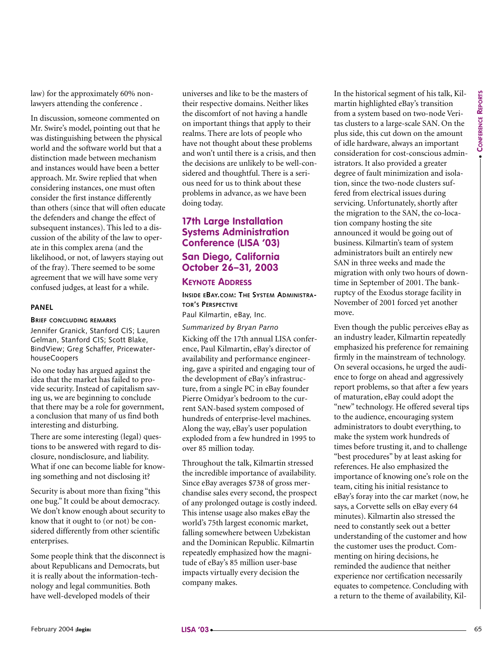law) for the approximately 60% nonlawyers attending the conference .

In discussion, someone commented on Mr. Swire's model, pointing out that he was distinguishing between the physical world and the software world but that a distinction made between mechanism and instances would have been a better approach. Mr. Swire replied that when considering instances, one must often consider the first instance differently than others (since that will often educate the defenders and change the effect of subsequent instances). This led to a discussion of the ability of the law to operate in this complex arena (and the likelihood, or not, of lawyers staying out of the fray). There seemed to be some agreement that we will have some very confused judges, at least for a while.

#### **PANEL**

#### **BRIEF CONCLUDING REMARKS**

Jennifer Granick, Stanford CIS; Lauren Gelman, Stanford CIS; Scott Blake, BindView; Greg Schaffer, PricewaterhouseCoopers

No one today has argued against the idea that the market has failed to provide security. Instead of capitalism saving us, we are beginning to conclude that there may be a role for government, a conclusion that many of us find both interesting and disturbing.

There are some interesting (legal) questions to be answered with regard to disclosure, nondisclosure, and liability. What if one can become liable for knowing something and not disclosing it?

Security is about more than fixing "this one bug." It could be about democracy. We don't know enough about security to know that it ought to (or not) be considered differently from other scientific enterprises.

Some people think that the disconnect is about Republicans and Democrats, but it is really about the information-technology and legal communities. Both have well-developed models of their

universes and like to be the masters of their respective domains. Neither likes the discomfort of not having a handle on important things that apply to their realms. There are lots of people who have not thought about these problems and won't until there is a crisis, and then the decisions are unlikely to be well-considered and thoughtful. There is a serious need for us to think about these problems in advance, as we have been doing today.

#### **17th Large Installation Systems Administration Conference (LISA '03)**

#### **San Diego, California October 26–31, 2003**

#### **KEYNOTE ADDRESS**

**INSIDE EBAY.COM: THE SYSTEM ADMINISTRA-TOR'S PERSPECTIVE**

Paul Kilmartin, eBay, Inc.

*Summarized by Bryan Parno* Kicking off the 17th annual LISA conference, Paul Kilmartin, eBay's director of availability and performance engineering, gave a spirited and engaging tour of the development of eBay's infrastructure, from a single PC in eBay founder Pierre Omidyar's bedroom to the current SAN-based system composed of hundreds of enterprise-level machines. Along the way, eBay's user population exploded from a few hundred in 1995 to over 85 million today.

Throughout the talk, Kilmartin stressed the incredible importance of availability. Since eBay averages \$738 of gross merchandise sales every second, the prospect of any prolonged outage is costly indeed. This intense usage also makes eBay the world's 75th largest economic market, falling somewhere between Uzbekistan and the Dominican Republic. Kilmartin repeatedly emphasized how the magnitude of eBay's 85 million user-base impacts virtually every decision the company makes.

In the historical segment of his talk, Kilmartin highlighted eBay's transition from a system based on two-node Veritas clusters to a large-scale SAN. On the plus side, this cut down on the amount of idle hardware, always an important consideration for cost-conscious administrators. It also provided a greater degree of fault minimization and isolation, since the two-node clusters suffered from electrical issues during servicing. Unfortunately, shortly after the migration to the SAN, the co-location company hosting the site announced it would be going out of business. Kilmartin's team of system administrators built an entirely new SAN in three weeks and made the migration with only two hours of downtime in September of 2001. The bankruptcy of the Exodus storage facility in November of 2001 forced yet another move.

**Example 2008**<br> **Example 2008 Constrained** the phasical material state are smalled to be reduced to the previous particle of the constrained to the constrained to the properties of the properties of the state in the con Even though the public perceives eBay as an industry leader, Kilmartin repeatedly emphasized his preference for remaining firmly in the mainstream of technology. On several occasions, he urged the audience to forge on ahead and aggressively report problems, so that after a few years of maturation, eBay could adopt the "new" technology. He offered several tips to the audience, encouraging system administrators to doubt everything, to make the system work hundreds of times before trusting it, and to challenge "best procedures" by at least asking for references. He also emphasized the importance of knowing one's role on the team, citing his initial resistance to eBay's foray into the car market (now, he says, a Corvette sells on eBay every 64 minutes). Kilmartin also stressed the need to constantly seek out a better understanding of the customer and how the customer uses the product. Commenting on hiring decisions, he reminded the audience that neither experience nor certification necessarily equates to competence. Concluding with a return to the theme of availability, Kil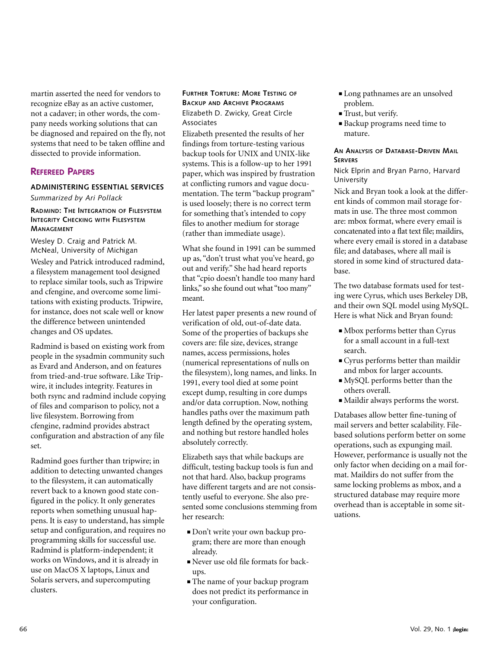martin asserted the need for vendors to recognize eBay as an active customer, not a cadaver; in other words, the company needs working solutions that can be diagnosed and repaired on the fly, not systems that need to be taken offline and dissected to provide information.

#### **REFEREED PAPERS**

#### **ADMINISTERING ESSENTIAL SERVICES**

*Summarized by Ari Pollack*

#### **RADMIND: THE INTEGRATION OF FILESYSTEM INTEGRITY CHECKING WITH FILESYSTEM MANAGEMENT**

Wesley D. Craig and Patrick M. McNeal, University of Michigan Wesley and Patrick introduced radmind, a filesystem management tool designed to replace similar tools, such as Tripwire and cfengine, and overcome some limitations with existing products. Tripwire, for instance, does not scale well or know the difference between unintended changes and OS updates.

Radmind is based on existing work from people in the sysadmin community such as Evard and Anderson, and on features from tried-and-true software. Like Tripwire, it includes integrity. Features in both rsync and radmind include copying of files and comparison to policy, not a live filesystem. Borrowing from cfengine, radmind provides abstract configuration and abstraction of any file set.

Radmind goes further than tripwire; in addition to detecting unwanted changes to the filesystem, it can automatically revert back to a known good state configured in the policy. It only generates reports when something unusual happens. It is easy to understand, has simple setup and configuration, and requires no programming skills for successful use. Radmind is platform-independent; it works on Windows, and it is already in use on MacOS X laptops, Linux and Solaris servers, and supercomputing clusters.

#### **FURTHER TORTURE: MORE TESTING OF BACKUP AND ARCHIVE PROGRAMS** Elizabeth D. Zwicky, Great Circle Associates

Elizabeth presented the results of her findings from torture-testing various backup tools for UNIX and UNIX-like systems. This is a follow-up to her 1991 paper, which was inspired by frustration at conflicting rumors and vague documentation. The term "backup program" is used loosely; there is no correct term for something that's intended to copy files to another medium for storage (rather than immediate usage).

What she found in 1991 can be summed up as, "don't trust what you've heard, go out and verify." She had heard reports that "cpio doesn't handle too many hard links," so she found out what "too many" meant.

Her latest paper presents a new round of verification of old, out-of-date data. Some of the properties of backups she covers are: file size, devices, strange names, access permissions, holes (numerical representations of nulls on the filesystem), long names, and links. In 1991, every tool died at some point except dump, resulting in core dumps and/or data corruption. Now, nothing handles paths over the maximum path length defined by the operating system, and nothing but restore handled holes absolutely correctly.

Elizabeth says that while backups are difficult, testing backup tools is fun and not that hard. Also, backup programs have different targets and are not consistently useful to everyone. She also presented some conclusions stemming from her research:

- **■** Don't write your own backup program; there are more than enough already.
- **■** Never use old file formats for backups.
- The name of your backup program does not predict its performance in your configuration.
- **■** Long pathnames are an unsolved problem.
- **■** Trust, but verify.
- **■** Backup programs need time to mature.

#### **AN ANALYSIS OF DATABASE-DRIVEN MAIL SERVERS**

#### Nick Elprin and Bryan Parno, Harvard University

Nick and Bryan took a look at the different kinds of common mail storage formats in use. The three most common are: mbox format, where every email is concatenated into a flat text file; maildirs, where every email is stored in a database file; and databases, where all mail is stored in some kind of structured database.

The two database formats used for testing were Cyrus, which uses Berkeley DB, and their own SQL model using MySQL. Here is what Nick and Bryan found:

- **■** Mbox performs better than Cyrus for a small account in a full-text search.
- **■** Cyrus performs better than maildir and mbox for larger accounts.
- **■** MySQL performs better than the others overall.
- **■** Maildir always performs the worst.

Databases allow better fine-tuning of mail servers and better scalability. Filebased solutions perform better on some operations, such as expunging mail. However, performance is usually not the only factor when deciding on a mail format. Maildirs do not suffer from the same locking problems as mbox, and a structured database may require more overhead than is acceptable in some situations.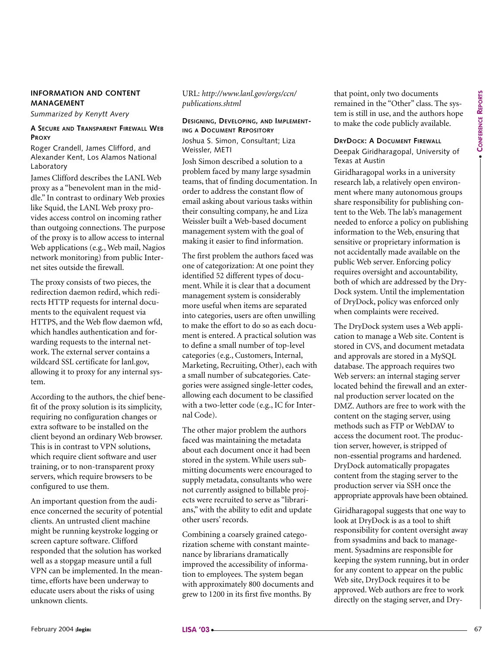#### **INFORMATION AND CONTENT MANAGEMENT**

*Summarized by Kenytt Avery*

#### **A SECURE AND TRANSPARENT FIREWALL WEB PROXY**

Roger Crandell, James Clifford, and Alexander Kent, Los Alamos National Laboratory

James Clifford describes the LANL Web proxy as a "benevolent man in the middle." In contrast to ordinary Web proxies like Squid, the LANL Web proxy provides access control on incoming rather than outgoing connections. The purpose of the proxy is to allow access to internal Web applications (e.g., Web mail, Nagios network monitoring) from public Internet sites outside the firewall.

The proxy consists of two pieces, the redirection daemon redird, which redirects HTTP requests for internal documents to the equivalent request via HTTPS, and the Web flow daemon wfd, which handles authentication and forwarding requests to the internal network. The external server contains a wildcard SSL certificate for lanl.gov, allowing it to proxy for any internal system.

According to the authors, the chief benefit of the proxy solution is its simplicity, requiring no configuration changes or extra software to be installed on the client beyond an ordinary Web browser. This is in contrast to VPN solutions, which require client software and user training, or to non-transparent proxy servers, which require browsers to be configured to use them.

An important question from the audience concerned the security of potential clients. An untrusted client machine might be running keystroke logging or screen capture software. Clifford responded that the solution has worked well as a stopgap measure until a full VPN can be implemented. In the meantime, efforts have been underway to educate users about the risks of using unknown clients.

#### URL: *http://www.lanl.gov/orgs/ccn/ publications.shtml*

#### **DESIGNING, DEVELOPING, AND IMPLEMENT-ING A DOCUMENT REPOSITORY**

Joshua S. Simon, Consultant; Liza Weissler, METI

Josh Simon described a solution to a problem faced by many large sysadmin teams, that of finding documentation. In order to address the constant flow of email asking about various tasks within their consulting company, he and Liza Weissler built a Web-based document management system with the goal of making it easier to find information.

The first problem the authors faced was one of categorization: At one point they identified 52 different types of document. While it is clear that a document management system is considerably more useful when items are separated into categories, users are often unwilling to make the effort to do so as each document is entered. A practical solution was to define a small number of top-level categories (e.g., Customers, Internal, Marketing, Recruiting, Other), each with a small number of subcategories. Categories were assigned single-letter codes, allowing each document to be classified with a two-letter code (e.g., IC for Internal Code).

The other major problem the authors faced was maintaining the metadata about each document once it had been stored in the system. While users submitting documents were encouraged to supply metadata, consultants who were not currently assigned to billable projects were recruited to serve as "librarians," with the ability to edit and update other users' records.

Combining a coarsely grained categorization scheme with constant maintenance by librarians dramatically improved the accessibility of information to employees. The system began with approximately 800 documents and grew to 1200 in its first five months. By

that point, only two documents remained in the "Other" class. The system is still in use, and the authors hope to make the code publicly available.

#### **DRYDOCK: A DOCUMENT FIREWALL**

Deepak Giridharagopal, University of Texas at Austin

Giridharagopal works in a university research lab, a relatively open environment where many autonomous groups share responsibility for publishing content to the Web. The lab's management needed to enforce a policy on publishing information to the Web, ensuring that sensitive or proprietary information is not accidentally made available on the public Web server. Enforcing policy requires oversight and accountability, both of which are addressed by the Dry-Dock system. Until the implementation of DryDock, policy was enforced only when complaints were received.

Absorpts can be the simulated by the simulated solution to the simulated solution of the simulated by the simulated by the simulated by the simulated by the simulated by the simulated by the simulated by the simulated by The DryDock system uses a Web application to manage a Web site. Content is stored in CVS, and document metadata and approvals are stored in a MySQL database. The approach requires two Web servers: an internal staging server located behind the firewall and an external production server located on the DMZ. Authors are free to work with the content on the staging server, using methods such as FTP or WebDAV to access the document root. The production server, however, is stripped of non-essential programs and hardened. DryDock automatically propagates content from the staging server to the production server via SSH once the appropriate approvals have been obtained.

Giridharagopal suggests that one way to look at DryDock is as a tool to shift responsibility for content oversight away from sysadmins and back to management. Sysadmins are responsible for keeping the system running, but in order for any content to appear on the public Web site, DryDock requires it to be approved. Web authors are free to work directly on the staging server, and Dry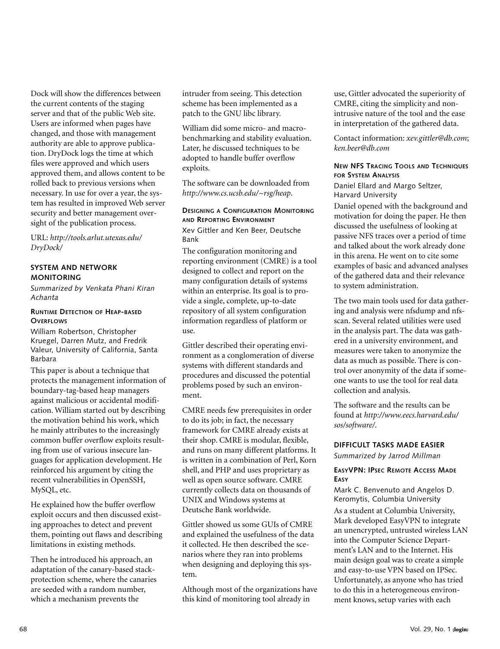Dock will show the differences between the current contents of the staging server and that of the public Web site. Users are informed when pages have changed, and those with management authority are able to approve publication. DryDock logs the time at which files were approved and which users approved them, and allows content to be rolled back to previous versions when necessary. In use for over a year, the system has resulted in improved Web server security and better management oversight of the publication process.

URL: *http://tools.arlut.utexas.edu/ DryDock/*

#### **SYSTEM AND NETWORK MONITORING**

*Summarized by Venkata Phani Kiran Achanta*

#### **RUNTIME DETECTION OF HEAP-BASED OVERFLOWS**

William Robertson, Christopher Kruegel, Darren Mutz, and Fredrik Valeur, University of California, Santa Barbara

This paper is about a technique that protects the management information of boundary-tag-based heap managers against malicious or accidental modification. William started out by describing the motivation behind his work, which he mainly attributes to the increasingly common buffer overflow exploits resulting from use of various insecure languages for application development. He reinforced his argument by citing the recent vulnerabilities in OpenSSH, MySQL, etc.

He explained how the buffer overflow exploit occurs and then discussed existing approaches to detect and prevent them, pointing out flaws and describing limitations in existing methods.

Then he introduced his approach, an adaptation of the canary-based stackprotection scheme, where the canaries are seeded with a random number, which a mechanism prevents the

intruder from seeing. This detection scheme has been implemented as a patch to the GNU libc library.

William did some micro- and macrobenchmarking and stability evaluation. Later, he discussed techniques to be adopted to handle buffer overflow exploits.

The software can be downloaded from *http://www.cs.ucsb.edu/~rsg/heap*.

#### **DESIGNING A CONFIGURATION MONITORING AND REPORTING ENVIRONMENT**

Xev Gittler and Ken Beer, Deutsche Bank

The configuration monitoring and reporting environment (CMRE) is a tool designed to collect and report on the many configuration details of systems within an enterprise. Its goal is to provide a single, complete, up-to-date repository of all system configuration information regardless of platform or use.

Gittler described their operating environment as a conglomeration of diverse systems with different standards and procedures and discussed the potential problems posed by such an environment.

CMRE needs few prerequisites in order to do its job; in fact, the necessary framework for CMRE already exists at their shop. CMRE is modular, flexible, and runs on many different platforms. It is written in a combination of Perl, Korn shell, and PHP and uses proprietary as well as open source software. CMRE currently collects data on thousands of UNIX and Windows systems at Deutsche Bank worldwide.

Gittler showed us some GUIs of CMRE and explained the usefulness of the data it collected. He then described the scenarios where they ran into problems when designing and deploying this system.

Although most of the organizations have this kind of monitoring tool already in

use, Gittler advocated the superiority of CMRE, citing the simplicity and nonintrusive nature of the tool and the ease in interpretation of the gathered data.

Contact information: *xev.gittler@db.com*; *ken.beer@db.com*

#### **NEW NFS TRACING TOOLS AND TECHNIQUES FOR SYSTEM ANALYSIS**

Daniel Ellard and Margo Seltzer, Harvard University

Daniel opened with the background and motivation for doing the paper. He then discussed the usefulness of looking at passive NFS traces over a period of time and talked about the work already done in this arena. He went on to cite some examples of basic and advanced analyses of the gathered data and their relevance to system administration.

The two main tools used for data gathering and analysis were nfsdump and nfsscan. Several related utilities were used in the analysis part. The data was gathered in a university environment, and measures were taken to anonymize the data as much as possible. There is control over anonymity of the data if someone wants to use the tool for real data collection and analysis.

The software and the results can be found at *http://www.eecs.harvard.edu/ sos/software/*.

#### **DIFFICULT TASKS MADE EASIER**

*Summarized by Jarrod Millman*

#### **EASYVPN: IPSEC REMOTE ACCESS MADE EASY**

Mark C. Benvenuto and Angelos D. Keromytis, Columbia University As a student at Columbia University, Mark developed EasyVPN to integrate an unencrypted, untrusted wireless LAN into the Computer Science Department's LAN and to the Internet. His main design goal was to create a simple and easy-to-use VPN based on IPSec. Unfortunately, as anyone who has tried to do this in a heterogeneous environment knows, setup varies with each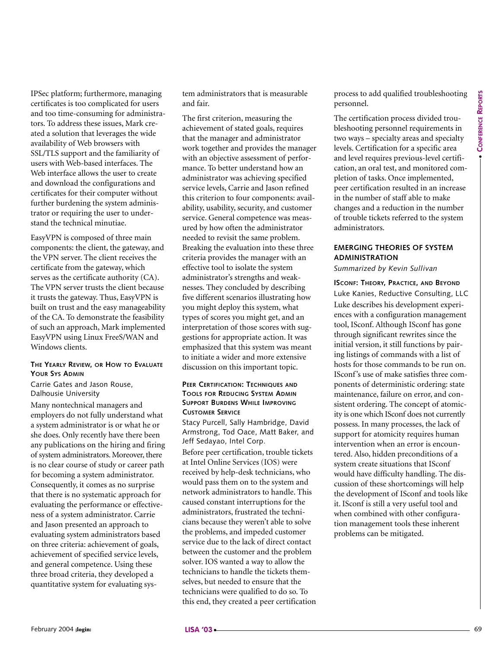IPSec platform; furthermore, managing certificates is too complicated for users and too time-consuming for administrators. To address these issues, Mark created a solution that leverages the wide availability of Web browsers with SSL/TLS support and the familiarity of users with Web-based interfaces. The Web interface allows the user to create and download the configurations and certificates for their computer without further burdening the system administrator or requiring the user to understand the technical minutiae.

EasyVPN is composed of three main components: the client, the gateway, and the VPN server. The client receives the certificate from the gateway, which serves as the certificate authority (CA). The VPN server trusts the client because it trusts the gateway. Thus, EasyVPN is built on trust and the easy manageability of the CA. To demonstrate the feasibility of such an approach, Mark implemented EasyVPN using Linux FreeS/WAN and Windows clients.

#### **THE YEARLY REVIEW, OR HOW TO EVALUATE YOUR SYS ADMIN**

Carrie Gates and Jason Rouse, Dalhousie University

Many nontechnical managers and employers do not fully understand what a system administrator is or what he or she does. Only recently have there been any publications on the hiring and firing of system administrators. Moreover, there is no clear course of study or career path for becoming a system administrator. Consequently, it comes as no surprise that there is no systematic approach for evaluating the performance or effectiveness of a system administrator. Carrie and Jason presented an approach to evaluating system administrators based on three criteria: achievement of goals, achievement of specified service levels, and general competence. Using these three broad criteria, they developed a quantitative system for evaluating system administrators that is measurable and fair.

The first criterion, measuring the achievement of stated goals, requires that the manager and administrator work together and provides the manager with an objective assessment of performance. To better understand how an administrator was achieving specified service levels, Carrie and Jason refined this criterion to four components: availability, usability, security, and customer service. General competence was measured by how often the administrator needed to revisit the same problem. Breaking the evaluation into these three criteria provides the manager with an effective tool to isolate the system administrator's strengths and weaknesses. They concluded by describing five different scenarios illustrating how you might deploy this system, what types of scores you might get, and an interpretation of those scores with suggestions for appropriate action. It was emphasized that this system was meant to initiate a wider and more extensive discussion on this important topic.

#### **PEER CERTIFICATION: TECHNIQUES AND TOOLS FOR REDUCING SYSTEM ADMIN SUPPORT BURDENS WHILE IMPROVING CUSTOMER SERVICE**

Stacy Purcell, Sally Hambridge, David Armstrong, Tod Oace, Matt Baker, and Jeff Sedayao, Intel Corp.

Before peer certification, trouble tickets at Intel Online Services (IOS) were received by help-desk technicians, who would pass them on to the system and network administrators to handle. This caused constant interruptions for the administrators, frustrated the technicians because they weren't able to solve the problems, and impeded customer service due to the lack of direct contact between the customer and the problem solver. IOS wanted a way to allow the technicians to handle the tickets themselves, but needed to ensure that the technicians were qualified to do so. To this end, they created a peer certification process to add qualified troubleshooting personnel.

The certification process divided troubleshooting personnel requirements in two ways – specialty areas and specialty levels. Certification for a specific area and level requires previous-level certification, an oral test, and monitored completion of tasks. Once implemented, peer certification resulted in an increase in the number of staff able to make changes and a reduction in the number of trouble tickets referred to the system administrators.

#### **EMERGING THEORIES OF SYSTEM ADMINISTRATION**

*Summarized by Kevin Sullivan*

sues with Work based tretting in with a dojocity assessment of prefer considered critical considered critical considered in the constrained in the based of the based of the based of the critical constrained in the critica **ISCONF: THEORY, PRACTICE, AND BEYOND** Luke Kanies, Reductive Consulting, LLC Luke describes his development experiences with a configuration management tool, ISconf. Although ISconf has gone through significant rewrites since the initial version, it still functions by pairing listings of commands with a list of hosts for those commands to be run on. ISconf's use of make satisfies three components of deterministic ordering: state maintenance, failure on error, and consistent ordering. The concept of atomicity is one which ISconf does not currently possess. In many processes, the lack of support for atomicity requires human intervention when an error is encountered. Also, hidden preconditions of a system create situations that ISconf would have difficulty handling. The discussion of these shortcomings will help the development of ISconf and tools like it. ISconf is still a very useful tool and when combined with other configuration management tools these inherent problems can be mitigated.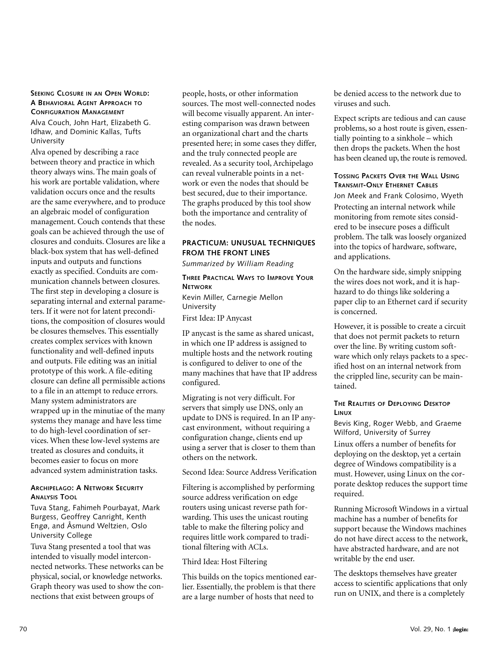#### **SEEKING CLOSURE IN AN OPEN WORLD: A BEHAVIORAL AGENT APPROACH TO CONFIGURATION MANAGEMENT**

Alva Couch, John Hart, Elizabeth G. Idhaw, and Dominic Kallas, Tufts University

Alva opened by describing a race between theory and practice in which theory always wins. The main goals of his work are portable validation, where validation occurs once and the results are the same everywhere, and to produce an algebraic model of configuration management. Couch contends that these goals can be achieved through the use of closures and conduits. Closures are like a black-box system that has well-defined inputs and outputs and functions exactly as specified. Conduits are communication channels between closures. The first step in developing a closure is separating internal and external parameters. If it were not for latent preconditions, the composition of closures would be closures themselves. This essentially creates complex services with known functionality and well-defined inputs and outputs. File editing was an initial prototype of this work. A file-editing closure can define all permissible actions to a file in an attempt to reduce errors. Many system administrators are wrapped up in the minutiae of the many systems they manage and have less time to do high-level coordination of services. When these low-level systems are treated as closures and conduits, it becomes easier to focus on more advanced system administration tasks.

#### **ARCHIPELAGO: A NETWORK SECURITY ANALYSIS TOOL**

Tuva Stang, Fahimeh Pourbayat, Mark Burgess, Geoffrey Canright, Kenth Engø, and Åsmund Weltzien, Oslo University College

Tuva Stang presented a tool that was intended to visually model interconnected networks. These networks can be physical, social, or knowledge networks. Graph theory was used to show the connections that exist between groups of

people, hosts, or other information sources. The most well-connected nodes will become visually apparent. An interesting comparison was drawn between an organizational chart and the charts presented here; in some cases they differ, and the truly connected people are revealed. As a security tool, Archipelago can reveal vulnerable points in a network or even the nodes that should be best secured, due to their importance. The graphs produced by this tool show both the importance and centrality of the nodes.

#### **PRACTICUM: UNUSUAL TECHNIQUES FROM THE FRONT LINES**

*Summarized by William Reading*

#### **THREE PRACTICAL WAYS TO IMPROVE YOUR NETWORK**

Kevin Miller, Carnegie Mellon University

First Idea: IP Anycast

IP anycast is the same as shared unicast, in which one IP address is assigned to multiple hosts and the network routing is configured to deliver to one of the many machines that have that IP address configured.

Migrating is not very difficult. For servers that simply use DNS, only an update to DNS is required. In an IP anycast environment, without requiring a configuration change, clients end up using a server that is closer to them than others on the network.

Second Idea: Source Address Verification

Filtering is accomplished by performing source address verification on edge routers using unicast reverse path forwarding. This uses the unicast routing table to make the filtering policy and requires little work compared to traditional filtering with ACLs.

#### Third Idea: Host Filtering

This builds on the topics mentioned earlier. Essentially, the problem is that there are a large number of hosts that need to

be denied access to the network due to viruses and such.

Expect scripts are tedious and can cause problems, so a host route is given, essentially pointing to a sinkhole – which then drops the packets. When the host has been cleaned up, the route is removed.

#### **TOSSING PACKETS OVER THE WALL USING TRANSMIT-ONLY ETHERNET CABLES**

Jon Meek and Frank Colosimo, Wyeth Protecting an internal network while monitoring from remote sites considered to be insecure poses a difficult problem. The talk was loosely organized into the topics of hardware, software, and applications.

On the hardware side, simply snipping the wires does not work, and it is haphazard to do things like soldering a paper clip to an Ethernet card if security is concerned.

However, it is possible to create a circuit that does not permit packets to return over the line. By writing custom software which only relays packets to a specified host on an internal network from the crippled line, security can be maintained.

#### **THE REALITIES OF DEPLOYING DESKTOP LINUX**

Bevis King, Roger Webb, and Graeme Wilford, University of Surrey

Linux offers a number of benefits for deploying on the desktop, yet a certain degree of Windows compatibility is a must. However, using Linux on the corporate desktop reduces the support time required.

Running Microsoft Windows in a virtual machine has a number of benefits for support because the Windows machines do not have direct access to the network, have abstracted hardware, and are not writable by the end user.

The desktops themselves have greater access to scientific applications that only run on UNIX, and there is a completely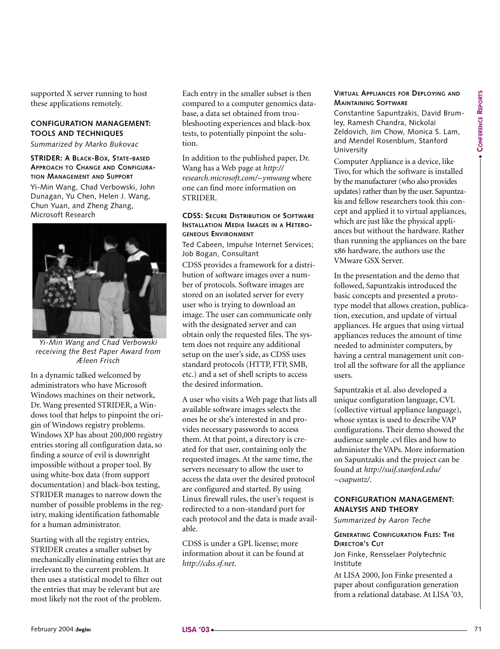supported X server running to host these applications remotely.

#### **CONFIGURATION MANAGEMENT: TOOLS AND TECHNIQUES**

*Summarized by Marko Bukovac*

**STRIDER: A BLACK-BOX, STATE-BASED APPROACH TO CHANGE AND CONFIGURA-TION MANAGEMENT AND SUPPORT** Yi-Min Wang, Chad Verbowski, John Dunagan, Yu Chen, Helen J. Wang, Chun Yuan, and Zheng Zhang, Microsoft Research



*Yi-Min Wang and Chad Verbowski receiving the Best Paper Award from Æleen Frisch*

In a dynamic talked welcomed by administrators who have Microsoft Windows machines on their network, Dr. Wang presented STRIDER, a Windows tool that helps to pinpoint the origin of Windows registry problems. Windows XP has about 200,000 registry entries storing all configuration data, so finding a source of evil is downright impossible without a proper tool. By using white-box data (from support documentation) and black-box testing, STRIDER manages to narrow down the number of possible problems in the registry, making identification fathomable for a human administrator. **FEURE ARIANGERS CONSULTERING THE CONSULTERING CONSULTERING (CONSULTERING) AND ARRANGEMENT IN A CONSULTERING CONSULTERING (CONSULTERING) (AND A CONSULTERING CONSULTERING) (AND A CONSULTERING) (AND A CONSULTERING) (AND A C** 

Starting with all the registry entries, STRIDER creates a smaller subset by mechanically eliminating entries that are irrelevant to the current problem. It then uses a statistical model to filter out the entries that may be relevant but are most likely not the root of the problem.

Each entry in the smaller subset is then compared to a computer genomics database, a data set obtained from troubleshooting experiences and black-box tests, to potentially pinpoint the solution.

In addition to the published paper, Dr. Wang has a Web page at *http:// research.microsoft.com/~ymwang* where one can find more information on **STRIDER** 

#### **CDSS: SECURE DISTRIBUTION OF SOFTWARE INSTALLATION MEDIA IMAGES IN A HETERO-GENEOUS ENVIRONMENT**

Ted Cabeen, Impulse Internet Services; Job Bogan, Consultant

CDSS provides a framework for a distribution of software images over a number of protocols. Software images are stored on an isolated server for every user who is trying to download an image. The user can communicate only with the designated server and can obtain only the requested files. The system does not require any additional setup on the user's side, as CDSS uses standard protocols (HTTP, FTP, SMB, etc.) and a set of shell scripts to access the desired information.

A user who visits a Web page that lists all available software images selects the ones he or she's interested in and provides necessary passwords to access them. At that point, a directory is created for that user, containing only the requested images. At the same time, the servers necessary to allow the user to access the data over the desired protocol are configured and started. By using Linux firewall rules, the user's request is redirected to a non-standard port for each protocol and the data is made available.

CDSS is under a GPL license; more information about it can be found at *http://cdss.sf.net*.

#### **VIRTUAL APPLIANCES FOR DEPLOYING AND MAINTAINING SOFTWARE**

Constantine Sapuntzakis, David Brumley, Ramesh Chandra, Nickolai Zeldovich, Jim Chow, Monica S. Lam, and Mendel Rosenblum, Stanford University

Computer Appliance is a device, like Tivo, for which the software is installed by the manufacturer (who also provides updates) rather than by the user. Sapuntzakis and fellow researchers took this concept and applied it to virtual appliances, which are just like the physical appliances but without the hardware. Rather than running the appliances on the bare x86 hardware, the authors use the VMware GSX Server.

In the presentation and the demo that followed, Sapuntzakis introduced the basic concepts and presented a prototype model that allows creation, publication, execution, and update of virtual appliances. He argues that using virtual appliances reduces the amount of time needed to administer computers, by having a central management unit control all the software for all the appliance users.

Sapuntzakis et al. also developed a unique configuration language, CVL (collective virtual appliance language), whose syntax is used to describe VAP configurations. Their demo showed the audience sample .cvl files and how to administer the VAPs. More information on Sapuntzakis and the project can be found at *http://suif.stanford.edu/ ~csapuntz/*.

#### **CONFIGURATION MANAGEMENT: ANALYSIS AND THEORY**

*Summarized by Aaron Teche*

**GENERATING CONFIGURATION FILES: THE DIRECTOR'S CUT**

Jon Finke, Rensselaer Polytechnic Institute

At LISA 2000, Jon Finke presented a paper about configuration generation from a relational database. At LISA '03,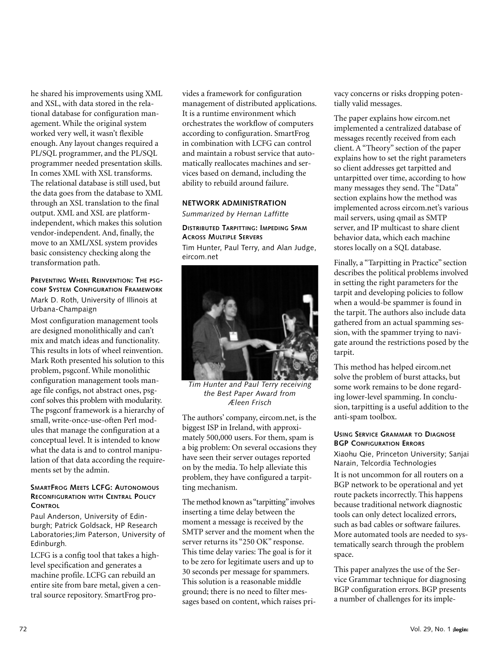he shared his improvements using XML and XSL, with data stored in the relational database for configuration management. While the original system worked very well, it wasn't flexible enough. Any layout changes required a PL/SQL programmer, and the PL/SQL programmer needed presentation skills. In comes XML with XSL transforms. The relational database is still used, but the data goes from the database to XML through an XSL translation to the final output. XML and XSL are platformindependent, which makes this solution vendor-independent. And, finally, the move to an XML/XSL system provides basic consistency checking along the transformation path.

#### **PREVENTING WHEEL REINVENTION: THE PSG-CONF SYSTEM CONFIGURATION FRAMEWORK** Mark D. Roth, University of Illinois at Urbana-Champaign

Most configuration management tools are designed monolithically and can't mix and match ideas and functionality. This results in lots of wheel reinvention. Mark Roth presented his solution to this problem, psgconf. While monolithic configuration management tools manage file configs, not abstract ones, psgconf solves this problem with modularity. The psgconf framework is a hierarchy of small, write-once-use-often Perl modules that manage the configuration at a conceptual level. It is intended to know what the data is and to control manipulation of that data according the requirements set by the admin.

#### **SMARTFROG MEETS LCFG: AUTONOMOUS RECONFIGURATION WITH CENTRAL POLICY CONTROL**

Paul Anderson, University of Edinburgh; Patrick Goldsack, HP Research Laboratories;Jim Paterson, University of Edinburgh.

LCFG is a config tool that takes a highlevel specification and generates a machine profile. LCFG can rebuild an entire site from bare metal, given a central source repository. SmartFrog provides a framework for configuration management of distributed applications. It is a runtime environment which orchestrates the workflow of computers according to configuration. SmartFrog in combination with LCFG can control and maintain a robust service that automatically reallocates machines and services based on demand, including the ability to rebuild around failure.

#### **NETWORK ADMINISTRATION**

*Summarized by Hernan Laffitte*

#### **DISTRIBUTED TARPITTING: IMPEDING SPAM ACROSS MULTIPLE SERVERS**

Tim Hunter, Paul Terry, and Alan Judge, eircom.net



*Tim Hunter and Paul Terry receiving the Best Paper Award from Æleen Frisch*

The authors' company, eircom.net, is the biggest ISP in Ireland, with approximately 500,000 users. For them, spam is a big problem: On several occasions they have seen their server outages reported on by the media. To help alleviate this problem, they have configured a tarpitting mechanism.

The method known as "tarpitting"involves inserting a time delay between the moment a message is received by the SMTP server and the moment when the server returns its "250 OK" response. This time delay varies: The goal is for it to be zero for legitimate users and up to 30 seconds per message for spammers. This solution is a reasonable middle ground; there is no need to filter messages based on content, which raises privacy concerns or risks dropping potentially valid messages.

The paper explains how eircom.net implemented a centralized database of messages recently received from each client. A "Theory" section of the paper explains how to set the right parameters so client addresses get tarpitted and untarpitted over time, according to how many messages they send. The "Data" section explains how the method was implemented across eircom.net's various mail servers, using qmail as SMTP server, and IP multicast to share client behavior data, which each machine stores locally on a SQL database.

Finally, a "Tarpitting in Practice" section describes the political problems involved in setting the right parameters for the tarpit and developing policies to follow when a would-be spammer is found in the tarpit. The authors also include data gathered from an actual spamming session, with the spammer trying to navigate around the restrictions posed by the tarpit.

This method has helped eircom.net solve the problem of burst attacks, but some work remains to be done regarding lower-level spamming. In conclusion, tarpitting is a useful addition to the anti-spam toolbox.

#### **USING SERVICE GRAMMAR TO DIAGNOSE BGP CONFIGURATION ERRORS**

Xiaohu Qie, Princeton University; Sanjai Narain, Telcordia Technologies

It is not uncommon for all routers on a BGP network to be operational and yet route packets incorrectly. This happens because traditional network diagnostic tools can only detect localized errors, such as bad cables or software failures. More automated tools are needed to systematically search through the problem space.

This paper analyzes the use of the Service Grammar technique for diagnosing BGP configuration errors. BGP presents a number of challenges for its imple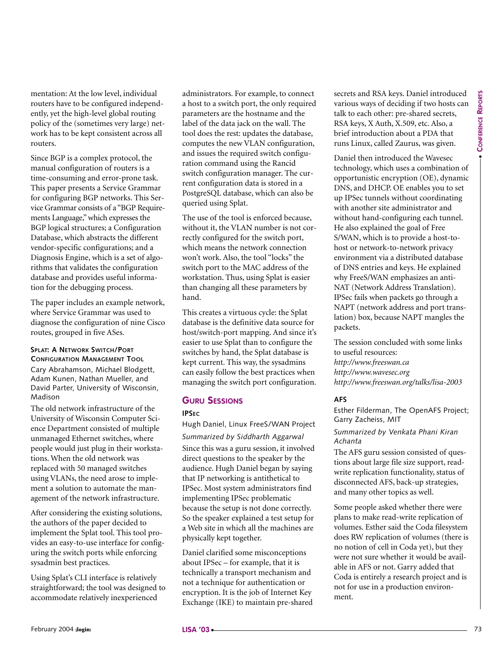mentation: At the low level, individual routers have to be configured independently, yet the high-level global routing policy of the (sometimes very large) network has to be kept consistent across all routers.

Since BGP is a complex protocol, the manual configuration of routers is a time-consuming and error-prone task. This paper presents a Service Grammar for configuring BGP networks. This Service Grammar consists of a "BGP Requirements Language," which expresses the BGP logical structures; a Configuration Database, which abstracts the different vendor-specific configurations; and a Diagnosis Engine, which is a set of algorithms that validates the configuration database and provides useful information for the debugging process.

The paper includes an example network, where Service Grammar was used to diagnose the configuration of nine Cisco routes, grouped in five ASes.

#### **SPLAT: A NETWORK SWITCH/PORT CONFIGURATION MANAGEMENT TOOL**

Cary Abrahamson, Michael Blodgett, Adam Kunen, Nathan Mueller, and David Parter, University of Wisconsin, Madison

The old network infrastructure of the University of Wisconsin Computer Science Department consisted of multiple unmanaged Ethernet switches, where people would just plug in their workstations. When the old network was replaced with 50 managed switches using VLANs, the need arose to implement a solution to automate the management of the network infrastructure.

After considering the existing solutions, the authors of the paper decided to implement the Splat tool. This tool provides an easy-to-use interface for configuring the switch ports while enforcing sysadmin best practices.

Using Splat's CLI interface is relatively straightforward; the tool was designed to accommodate relatively inexperienced

administrators. For example, to connect a host to a switch port, the only required parameters are the hostname and the label of the data jack on the wall. The tool does the rest: updates the database, computes the new VLAN configuration, and issues the required switch configuration command using the Rancid switch configuration manager. The current configuration data is stored in a PostgreSQL database, which can also be queried using Splat.

The use of the tool is enforced because, without it, the VLAN number is not correctly configured for the switch port, which means the network connection won't work. Also, the tool "locks" the switch port to the MAC address of the workstation. Thus, using Splat is easier than changing all these parameters by hand.

This creates a virtuous cycle: the Splat database is the definitive data source for host/switch-port mapping. And since it's easier to use Splat than to configure the switches by hand, the Splat database is kept current. This way, the sysadmins can easily follow the best practices when managing the switch port configuration.

#### **GURU SESSIONS**

#### **IPSEC**

Hugh Daniel, Linux FreeS/WAN Project *Summarized by Siddharth Aggarwal* Since this was a guru session, it involved direct questions to the speaker by the audience. Hugh Daniel began by saying that IP networking is antithetical to IPSec. Most system administrators find implementing IPSec problematic because the setup is not done correctly. So the speaker explained a test setup for a Web site in which all the machines are physically kept together.

Daniel clarified some misconceptions about IPSec – for example, that it is technically a transport mechanism and not a technique for authentication or encryption. It is the job of Internet Key Exchange (IKE) to maintain pre-shared secrets and RSA keys. Daniel introduced various ways of deciding if two hosts can talk to each other: pre-shared secrets, RSA keys, X Auth, X.509, etc. Also, a brief introduction about a PDA that runs Linux, called Zaurus, was given.

Since By Francough procedure and compute the since in the since the since the since the since the since the since the since the since the since the since the since the since the since the since the since the since the sinc Daniel then introduced the Wavesec technology, which uses a combination of opportunistic encryption (OE), dynamic DNS, and DHCP. OE enables you to set up IPSec tunnels without coordinating with another site administrator and without hand-configuring each tunnel. He also explained the goal of Free S/WAN, which is to provide a host-tohost or network-to-network privacy environment via a distributed database of DNS entries and keys. He explained why FreeS/WAN emphasizes an anti-NAT (Network Address Translation). IPSec fails when packets go through a NAPT (network address and port translation) box, because NAPT mangles the packets.

The session concluded with some links to useful resources: *http://www.freeswan.ca http://www.wavesec.org http://www.freeswan.org/talks/lisa-2003*

#### **AFS**

Esther Filderman, The OpenAFS Project; Garry Zacheiss, MIT

#### *Summarized by Venkata Phani Kiran Achanta*

The AFS guru session consisted of questions about large file size support, readwrite replication functionality, status of disconnected AFS, back-up strategies, and many other topics as well.

Some people asked whether there were plans to make read-write replication of volumes. Esther said the Coda filesystem does RW replication of volumes (there is no notion of cell in Coda yet), but they were not sure whether it would be available in AFS or not. Garry added that Coda is entirely a research project and is not for use in a production environment.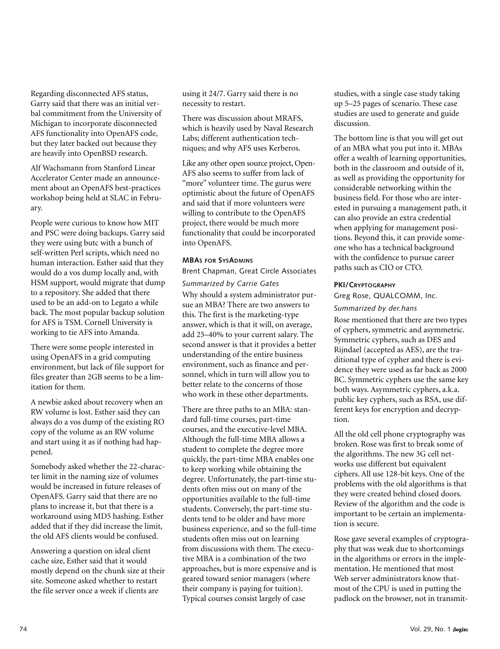Regarding disconnected AFS status, Garry said that there was an initial verbal commitment from the University of Michigan to incorporate disconnected AFS functionality into OpenAFS code, but they later backed out because they are heavily into OpenBSD research.

Alf Wachsmann from Stanford Linear Accelerator Center made an announcement about an OpenAFS best-practices workshop being held at SLAC in February.

People were curious to know how MIT and PSC were doing backups. Garry said they were using butc with a bunch of self-written Perl scripts, which need no human interaction. Esther said that they would do a vos dump locally and, with HSM support, would migrate that dump to a repository. She added that there used to be an add-on to Legato a while back. The most popular backup solution for AFS is TSM. Cornell University is working to tie AFS into Amanda.

There were some people interested in using OpenAFS in a grid computing environment, but lack of file support for files greater than 2GB seems to be a limitation for them.

A newbie asked about recovery when an RW volume is lost. Esther said they can always do a vos dump of the existing RO copy of the volume as an RW volume and start using it as if nothing had happened.

Somebody asked whether the 22-character limit in the naming size of volumes would be increased in future releases of OpenAFS. Garry said that there are no plans to increase it, but that there is a workaround using MD5 hashing. Esther added that if they did increase the limit, the old AFS clients would be confused.

Answering a question on ideal client cache size, Esther said that it would mostly depend on the chunk size at their site. Someone asked whether to restart the file server once a week if clients are

using it 24/7. Garry said there is no necessity to restart.

There was discussion about MRAFS, which is heavily used by Naval Research Labs; different authentication techniques; and why AFS uses Kerberos.

Like any other open source project, Open-AFS also seems to suffer from lack of "more" volunteer time. The gurus were optimistic about the future of OpenAFS and said that if more volunteers were willing to contribute to the OpenAFS project, there would be much more functionality that could be incorporated into OpenAFS.

#### **MBAS FOR SYSADMINS**

Brent Chapman, Great Circle Associates

*Summarized by Carrie Gates*

Why should a system administrator pursue an MBA? There are two answers to this. The first is the marketing-type answer, which is that it will, on average, add 25–40% to your current salary. The second answer is that it provides a better understanding of the entire business environment, such as finance and personnel, which in turn will allow you to better relate to the concerns of those who work in these other departments.

There are three paths to an MBA: standard full-time courses, part-time courses, and the executive-level MBA. Although the full-time MBA allows a student to complete the degree more quickly, the part-time MBA enables one to keep working while obtaining the degree. Unfortunately, the part-time students often miss out on many of the opportunities available to the full-time students. Conversely, the part-time students tend to be older and have more business experience, and so the full-time students often miss out on learning from discussions with them. The executive MBA is a combination of the two approaches, but is more expensive and is geared toward senior managers (where their company is paying for tuition). Typical courses consist largely of case

studies, with a single case study taking up 5–25 pages of scenario. These case studies are used to generate and guide discussion.

The bottom line is that you will get out of an MBA what you put into it. MBAs offer a wealth of learning opportunities, both in the classroom and outside of it, as well as providing the opportunity for considerable networking within the business field. For those who are interested in pursuing a management path, it can also provide an extra credential when applying for management positions. Beyond this, it can provide someone who has a technical background with the confidence to pursue career paths such as CIO or CTO.

#### **PKI/CRYPTOGRAPHY**

#### Greg Rose, QUALCOMM, Inc.

#### *Summarized by der.hans*

Rose mentioned that there are two types of cyphers, symmetric and asymmetric. Symmetric cyphers, such as DES and Rijndael (accepted as AES), are the traditional type of cypher and there is evidence they were used as far back as 2000 BC. Symmetric cyphers use the same key both ways. Asymmetric cyphers, a.k.a. public key cyphers, such as RSA, use different keys for encryption and decryption.

All the old cell phone cryptography was broken. Rose was first to break some of the algorithms. The new 3G cell networks use different but equivalent ciphers. All use 128-bit keys. One of the problems with the old algorithms is that they were created behind closed doors. Review of the algorithm and the code is important to be certain an implementation is secure.

Rose gave several examples of cryptography that was weak due to shortcomings in the algorithms or errors in the implementation. He mentioned that most Web server administrators know thatmost of the CPU is used in putting the padlock on the browser, not in transmit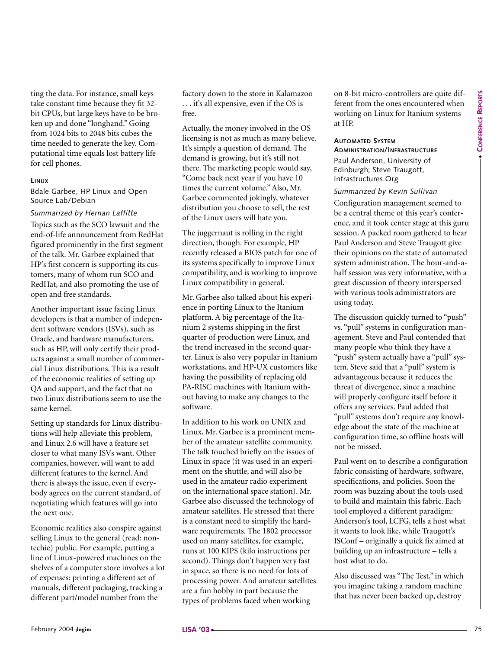ting the data. For instance, small keys take constant time because they fit 32 bit CPUs, but large keys have to be broken up and done "longhand." Going from 1024 bits to 2048 bits cubes the time needed to generate the key. Computational time equals lost battery life for cell phones.

#### **LINUX**

Bdale Garbee, HP Linux and Open Source Lab/Debian

*Summarized by Hernan Laffitte* Topics such as the SCO lawsuit and the end-of-life announcement from RedHat figured prominently in the first segment of the talk. Mr. Garbee explained that HP's first concern is supporting its customers, many of whom run SCO and RedHat, and also promoting the use of open and free standards.

Another important issue facing Linux developers is that a number of independent software vendors (ISVs), such as Oracle, and hardware manufacturers, such as HP, will only certify their products against a small number of commercial Linux distributions. This is a result of the economic realities of setting up QA and support, and the fact that no two Linux distributions seem to use the same kernel.

Setting up standards for Linux distributions will help alleviate this problem, and Linux 2.6 will have a feature set closer to what many ISVs want. Other companies, however, will want to add different features to the kernel. And there is always the issue, even if everybody agrees on the current standard, of negotiating which features will go into the next one.

Economic realities also conspire against selling Linux to the general (read: nontechie) public. For example, putting a line of Linux-powered machines on the shelves of a computer store involves a lot of expenses: printing a different set of manuals, different packaging, tracking a different part/model number from the

factory down to the store in Kalamazoo . . . it's all expensive, even if the OS is free.

Actually, the money involved in the OS licensing is not as much as many believe. It's simply a question of demand. The demand is growing, but it's still not there. The marketing people would say, "Come back next year if you have 10 times the current volume." Also, Mr. Garbee commented jokingly, whatever distribution you choose to sell, the rest of the Linux users will hate you.

The juggernaut is rolling in the right direction, though. For example, HP recently released a BIOS patch for one of its systems specifically to improve Linux compatibility, and is working to improve Linux compatibility in general.

Mr. Garbee also talked about his experience in porting Linux to the Itanium platform. A big percentage of the Itanium 2 systems shipping in the first quarter of production were Linux, and the trend increased in the second quarter. Linux is also very popular in Itanium workstations, and HP-UX customers like having the possibility of replacing old PA-RISC machines with Itanium without having to make any changes to the software.

For the state of the state of the state of the state of the state of the state of the state of the state of the state of the state of the state of the state of the state of the state of the state of the state of the state In addition to his work on UNIX and Linux, Mr. Garbee is a prominent member of the amateur satellite community. The talk touched briefly on the issues of Linux in space (it was used in an experiment on the shuttle, and will also be used in the amateur radio experiment on the international space station). Mr. Garbee also discussed the technology of amateur satellites. He stressed that there is a constant need to simplify the hardware requirements. The 1802 processor used on many satellites, for example, runs at 100 KIPS (kilo instructions per second). Things don't happen very fast in space, so there is no need for lots of processing power. And amateur satellites are a fun hobby in part because the types of problems faced when working

on 8-bit micro-controllers are quite different from the ones encountered when working on Linux for Itanium systems at HP.

#### **AUTOMATED SYSTEM ADMINISTRATION/INFRASTRUCTURE**

Paul Anderson, University of Edinburgh; Steve Traugott, Infrastructures.Org

#### *Summarized by Kevin Sullivan*

Configuration management seemed to be a central theme of this year's conference, and it took center stage at this guru session. A packed room gathered to hear Paul Anderson and Steve Traugott give their opinions on the state of automated system administration. The hour-and-ahalf session was very informative, with a great discussion of theory interspersed with various tools administrators are using today.

The discussion quickly turned to "push" vs. "pull" systems in configuration management. Steve and Paul contended that many people who think they have a "push" system actually have a "pull" system. Steve said that a "pull" system is advantageous because it reduces the threat of divergence, since a machine will properly configure itself before it offers any services. Paul added that "pull" systems don't require any knowledge about the state of the machine at configuration time, so offline hosts will not be missed.

Paul went on to describe a configuration fabric consisting of hardware, software, specifications, and policies. Soon the room was buzzing about the tools used to build and maintain this fabric. Each tool employed a different paradigm: Anderson's tool, LCFG, tells a host what it wants to look like, while Traugott's ISConf – originally a quick fix aimed at building up an infrastructure – tells a host what to do.

Also discussed was "The Test," in which you imagine taking a random machine that has never been backed up, destroy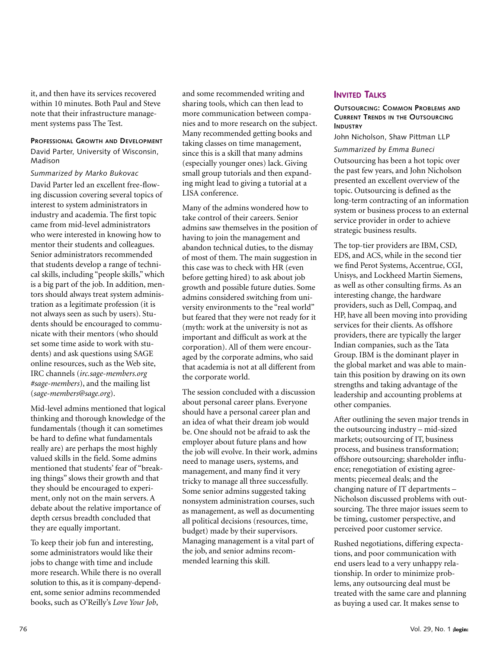it, and then have its services recovered within 10 minutes. Both Paul and Steve note that their infrastructure management systems pass The Test.

#### **PROFESSIONAL GROWTH AND DEVELOPMENT**

David Parter, University of Wisconsin, Madison

*Summarized by Marko Bukovac* David Parter led an excellent free-flowing discussion covering several topics of interest to system administrators in industry and academia. The first topic came from mid-level administrators who were interested in knowing how to mentor their students and colleagues. Senior administrators recommended that students develop a range of technical skills, including "people skills," which is a big part of the job. In addition, mentors should always treat system administration as a legitimate profession (it is not always seen as such by users). Students should be encouraged to communicate with their mentors (who should set some time aside to work with students) and ask questions using SAGE online resources, such as the Web site, IRC channels (*irc.sage-members.org #sage-members*), and the mailing list (*sage-members@sage.org*).

Mid-level admins mentioned that logical thinking and thorough knowledge of the fundamentals (though it can sometimes be hard to define what fundamentals really are) are perhaps the most highly valued skills in the field. Some admins mentioned that students' fear of "breaking things" slows their growth and that they should be encouraged to experiment, only not on the main servers. A debate about the relative importance of depth cersus breadth concluded that they are equally important.

To keep their job fun and interesting, some administrators would like their jobs to change with time and include more research. While there is no overall solution to this, as it is company-dependent, some senior admins recommended books, such as O'Reilly's *Love Your Job*,

and some recommended writing and sharing tools, which can then lead to more communication between companies and to more research on the subject. Many recommended getting books and taking classes on time management, since this is a skill that many admins (especially younger ones) lack. Giving small group tutorials and then expanding might lead to giving a tutorial at a LISA conference.

Many of the admins wondered how to take control of their careers. Senior admins saw themselves in the position of having to join the management and abandon technical duties, to the dismay of most of them. The main suggestion in this case was to check with HR (even before getting hired) to ask about job growth and possible future duties. Some admins considered switching from university environments to the "real world" but feared that they were not ready for it (myth: work at the university is not as important and difficult as work at the corporation). All of them were encouraged by the corporate admins, who said that academia is not at all different from the corporate world.

The session concluded with a discussion about personal career plans. Everyone should have a personal career plan and an idea of what their dream job would be. One should not be afraid to ask the employer about future plans and how the job will evolve. In their work, admins need to manage users, systems, and management, and many find it very tricky to manage all three successfully. Some senior admins suggested taking nonsystem administration courses, such as management, as well as documenting all political decisions (resources, time, budget) made by their supervisors. Managing management is a vital part of the job, and senior admins recommended learning this skill.

#### **INVITED TALKS**

#### **OUTSOURCING: COMMON PROBLEMS AND CURRENT TRENDS IN THE OUTSOURCING INDUSTRY**

John Nicholson, Shaw Pittman LLP

#### *Summarized by Emma Buneci*

Outsourcing has been a hot topic over the past few years, and John Nicholson presented an excellent overview of the topic. Outsourcing is defined as the long-term contracting of an information system or business process to an external service provider in order to achieve strategic business results.

The top-tier providers are IBM, CSD, EDS, and ACS, while in the second tier we find Perot Systems, Accentrue, CGI, Unisys, and Lockheed Martin Siemens, as well as other consulting firms. As an interesting change, the hardware providers, such as Dell, Compaq, and HP, have all been moving into providing services for their clients. As offshore providers, there are typically the larger Indian companies, such as the Tata Group. IBM is the dominant player in the global market and was able to maintain this position by drawing on its own strengths and taking advantage of the leadership and accounting problems at other companies.

After outlining the seven major trends in the outsourcing industry – mid-sized markets; outsourcing of IT, business process, and business transformation; offshore outsourcing; shareholder influence; renegotiation of existing agreements; piecemeal deals; and the changing nature of IT departments – Nicholson discussed problems with outsourcing. The three major issues seem to be timing, customer perspective, and perceived poor customer service.

Rushed negotiations, differing expectations, and poor communication with end users lead to a very unhappy relationship. In order to minimize problems, any outsourcing deal must be treated with the same care and planning as buying a used car. It makes sense to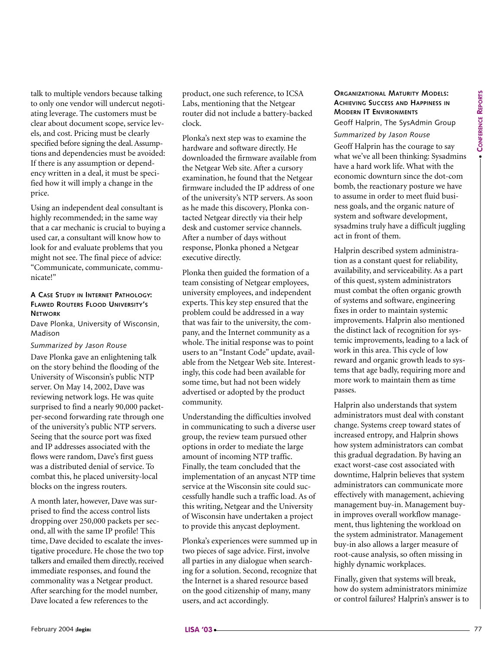**CONFERENCE REPOR TS**

talk to multiple vendors because talking to only one vendor will undercut negotiating leverage. The customers must be clear about document scope, service levels, and cost. Pricing must be clearly specified before signing the deal. Assumptions and dependencies must be avoided: If there is any assumption or dependency written in a deal, it must be specified how it will imply a change in the price.

Using an independent deal consultant is highly recommended; in the same way that a car mechanic is crucial to buying a used car, a consultant will know how to look for and evaluate problems that you might not see. The final piece of advice: "Communicate, communicate, communicate!"

#### **A CASE STUDY IN INTERNET PATHOLOGY: FLAWED ROUTERS FLOOD UNIVERSITY'S NETWORK**

Dave Plonka, University of Wisconsin, Madison

#### *Summarized by Jason Rouse*

Dave Plonka gave an enlightening talk on the story behind the flooding of the University of Wisconsin's public NTP server. On May 14, 2002, Dave was reviewing network logs. He was quite surprised to find a nearly 90,000 packetper-second forwarding rate through one of the university's public NTP servers. Seeing that the source port was fixed and IP addresses associated with the flows were random, Dave's first guess was a distributed denial of service. To combat this, he placed university-local blocks on the ingress routers.

A month later, however, Dave was surprised to find the access control lists dropping over 250,000 packets per second, all with the same IP profile! This time, Dave decided to escalate the investigative procedure. He chose the two top talkers and emailed them directly, received immediate responses, and found the commonality was a Netgear product. After searching for the model number, Dave located a few references to the

product, one such reference, to ICSA Labs, mentioning that the Netgear router did not include a battery-backed clock.

Plonka's next step was to examine the hardware and software directly. He downloaded the firmware available from the Netgear Web site. After a cursory examination, he found that the Netgear firmware included the IP address of one of the university's NTP servers. As soon as he made this discovery, Plonka contacted Netgear directly via their help desk and customer service channels. After a number of days without response, Plonka phoned a Netgear executive directly.

Plonka then guided the formation of a team consisting of Netgear employees, university employees, and independent experts. This key step ensured that the problem could be addressed in a way that was fair to the university, the company, and the Internet community as a whole. The initial response was to point users to an "Instant Code" update, available from the Netgear Web site. Interestingly, this code had been available for some time, but had not been widely advertised or adopted by the product community.

Understanding the difficulties involved in communicating to such a diverse user group, the review team pursued other options in order to mediate the large amount of incoming NTP traffic. Finally, the team concluded that the implementation of an anycast NTP time service at the Wisconsin site could successfully handle such a traffic load. As of this writing, Netgear and the University of Wisconsin have undertaken a project to provide this anycast deployment.

Plonka's experiences were summed up in two pieces of sage advice. First, involve all parties in any dialogue when searching for a solution. Second, recognize that the Internet is a shared resource based on the good citizenship of many, many users, and act accordingly.

#### **ORGANIZATIONAL MATURITY MODELS: ACHIEVING SUCCESS AND HAPPINESS IN MODERN IT ENVIRONMENTS**

Geoff Halprin, The SysAdmin Group

#### *Summarized by Jason Rouse*

Geoff Halprin has the courage to say what we've all been thinking: Sysadmins have a hard work life. What with the economic downturn since the dot-com bomb, the reactionary posture we have to assume in order to meet fluid business goals, and the organic nature of system and software development, sysadmins truly have a difficult juggling act in front of them.

Halprin described system administration as a constant quest for reliability, availability, and serviceability. As a part of this quest, system administrators must combat the often organic growth of systems and software, engineering fixes in order to maintain systemic improvements. Halprin also mentioned the distinct lack of recognition for systemic improvements, leading to a lack of work in this area. This cycle of low reward and organic growth leads to systems that age badly, requiring more and more work to maintain them as time passes.

February and the matrix and the fit is the converse of the state of the state of the state of the state of the state of the state of the state of the state of the state of the state of the state of the state of the state Halprin also understands that system administrators must deal with constant change. Systems creep toward states of increased entropy, and Halprin shows how system administrators can combat this gradual degradation. By having an exact worst-case cost associated with downtime, Halprin believes that system administrators can communicate more effectively with management, achieving management buy-in. Management buyin improves overall workflow management, thus lightening the workload on the system administrator. Management buy-in also allows a larger measure of root-cause analysis, so often missing in highly dynamic workplaces.

Finally, given that systems will break, how do system administrators minimize or control failures? Halprin's answer is to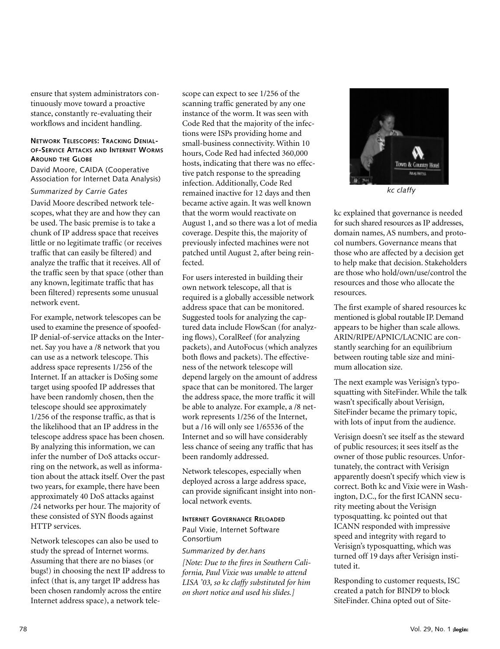ensure that system administrators continuously move toward a proactive stance, constantly re-evaluating their workflows and incident handling.

#### **NETWORK TELESCOPES: TRACKING DENIAL-OF-SERVICE ATTACKS AND INTERNET WORMS AROUND THE GLOBE**

David Moore, CAIDA (Cooperative Association for Internet Data Analysis)

#### *Summarized by Carrie Gates*

David Moore described network telescopes, what they are and how they can be used. The basic premise is to take a chunk of IP address space that receives little or no legitimate traffic (or receives traffic that can easily be filtered) and analyze the traffic that it receives. All of the traffic seen by that space (other than any known, legitimate traffic that has been filtered) represents some unusual network event.

For example, network telescopes can be used to examine the presence of spoofed-IP denial-of-service attacks on the Internet. Say you have a /8 network that you can use as a network telescope. This address space represents 1/256 of the Internet. If an attacker is DoSing some target using spoofed IP addresses that have been randomly chosen, then the telescope should see approximately 1/256 of the response traffic, as that is the likelihood that an IP address in the telescope address space has been chosen. By analyzing this information, we can infer the number of DoS attacks occurring on the network, as well as information about the attack itself. Over the past two years, for example, there have been approximately 40 DoS attacks against /24 networks per hour. The majority of these consisted of SYN floods against HTTP services.

Network telescopes can also be used to study the spread of Internet worms. Assuming that there are no biases (or bugs!) in choosing the next IP address to infect (that is, any target IP address has been chosen randomly across the entire Internet address space), a network telescope can expect to see 1/256 of the scanning traffic generated by any one instance of the worm. It was seen with Code Red that the majority of the infections were ISPs providing home and small-business connectivity. Within 10 hours, Code Red had infected 360,000 hosts, indicating that there was no effective patch response to the spreading infection. Additionally, Code Red remained inactive for 12 days and then became active again. It was well known that the worm would reactivate on August 1, and so there was a lot of media coverage. Despite this, the majority of previously infected machines were not patched until August 2, after being reinfected.

For users interested in building their own network telescope, all that is required is a globally accessible network address space that can be monitored. Suggested tools for analyzing the captured data include FlowScan (for analyzing flows), CoralReef (for analyzing packets), and AutoFocus (which analyzes both flows and packets). The effectiveness of the network telescope will depend largely on the amount of address space that can be monitored. The larger the address space, the more traffic it will be able to analyze. For example, a /8 network represents 1/256 of the Internet, but a /16 will only see 1/65536 of the Internet and so will have considerably less chance of seeing any traffic that has been randomly addressed.

Network telescopes, especially when deployed across a large address space, can provide significant insight into nonlocal network events.

#### **INTERNET GOVERNANCE RELOADED**

#### Paul Vixie, Internet Software Consortium

*Summarized by der.hans [Note: Due to the fires in Southern California, Paul Vixie was unable to attend LISA '03, so kc claffy substituted for him on short notice and used his slides.]*



*kc claffy*

kc explained that governance is needed for such shared resources as IP addresses, domain names, AS numbers, and protocol numbers. Governance means that those who are affected by a decision get to help make that decision. Stakeholders are those who hold/own/use/control the resources and those who allocate the resources.

The first example of shared resources kc mentioned is global routable IP. Demand appears to be higher than scale allows. ARIN/RIPE/APNIC/LACNIC are constantly searching for an equilibrium between routing table size and minimum allocation size.

The next example was Verisign's typosquatting with SiteFinder. While the talk wasn't specifically about Verisign, SiteFinder became the primary topic, with lots of input from the audience.

Verisign doesn't see itself as the steward of public resources; it sees itself as the owner of those public resources. Unfortunately, the contract with Verisign apparently doesn't specify which view is correct. Both kc and Vixie were in Washington, D.C., for the first ICANN security meeting about the Verisign typosquatting. kc pointed out that ICANN responded with impressive speed and integrity with regard to Verisign's typosquatting, which was turned off 19 days after Verisign instituted it.

Responding to customer requests, ISC created a patch for BIND9 to block SiteFinder. China opted out of Site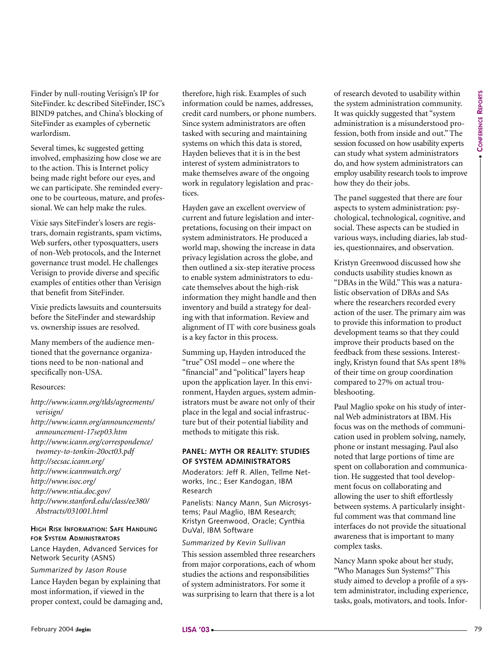Finder by null-routing Verisign's IP for SiteFinder. kc described SiteFinder, ISC's BIND9 patches, and China's blocking of SiteFinder as examples of cybernetic warlordism.

Several times, kc suggested getting involved, emphasizing how close we are to the action. This is Internet policy being made right before our eyes, and we can participate. She reminded everyone to be courteous, mature, and professional. We can help make the rules.

Vixie says SiteFinder's losers are registrars, domain registrants, spam victims, Web surfers, other typosquatters, users of non-Web protocols, and the Internet governance trust model. He challenges Verisign to provide diverse and specific examples of entities other than Verisign that benefit from SiteFinder.

Vixie predicts lawsuits and countersuits before the SiteFinder and stewardship vs. ownership issues are resolved.

Many members of the audience mentioned that the governance organizations need to be non-national and specifically non-USA.

#### Resources:

*http://www.icann.org/tlds/agreements/ verisign/ http://www.icann.org/announcements/ announcement-17sep03.htm http://www.icann.org/correspondence/ twomey-to-tonkin-20oct03.pdf http://secsac.icann.org/ http://www.icannwatch.org/*

*http://www.isoc.org/*

*http://www.ntia.doc.gov/*

*http://www.stanford.edu/class/ee380/ Abstracts/031001.html*

#### **HIGH RISK INFORMATION: SAFE HANDLING FOR SYSTEM ADMINISTRATORS**

Lance Hayden, Advanced Services for Network Security (ASNS)

#### *Summarized by Jason Rouse*

Lance Hayden began by explaining that most information, if viewed in the proper context, could be damaging and, therefore, high risk. Examples of such information could be names, addresses, credit card numbers, or phone numbers. Since system administrators are often tasked with securing and maintaining systems on which this data is stored, Hayden believes that it is in the best interest of system administrators to make themselves aware of the ongoing work in regulatory legislation and practices.

Hayden gave an excellent overview of current and future legislation and interpretations, focusing on their impact on system administrators. He produced a world map, showing the increase in data privacy legislation across the globe, and then outlined a six-step iterative process to enable system administrators to educate themselves about the high-risk information they might handle and then inventory and build a strategy for dealing with that information. Review and alignment of IT with core business goals is a key factor in this process.

Summing up, Hayden introduced the "true" OSI model – one where the "financial" and "political" layers heap upon the application layer. In this environment, Hayden argues, system administrators must be aware not only of their place in the legal and social infrastructure but of their potential liability and methods to mitigate this risk.

#### **PANEL: MYTH OR REALITY: STUDIES OF SYSTEM ADMINISTRATORS**

Moderators: Jeff R. Allen, Tellme Networks, Inc.; Eser Kandogan, IBM Research

Panelists: Nancy Mann, Sun Microsystems; Paul Maglio, IBM Research; Kristyn Greenwood, Oracle; Cynthia DuVal, IBM Software

#### *Summarized by Kevin Sullivan*

This session assembled three researchers from major corporations, each of whom studies the actions and responsibilities of system administrators. For some it was surprising to learn that there is a lot

of research devoted to usability within the system administration community. It was quickly suggested that "system administration is a misunderstood profession, both from inside and out." The session focussed on how usability experts can study what system administrators do, and how system administrators can employ usability research tools to improve how they do their jobs.

The panel suggested that there are four aspects to system administration: psychological, technological, cognitive, and social. These aspects can be studied in various ways, including diaries, lab studies, questionnaires, and observation.

Kristyn Greenwood discussed how she conducts usability studies known as "DBAs in the Wild." This was a naturalistic observation of DBAs and SAs where the researchers recorded every action of the user. The primary aim was to provide this information to product development teams so that they could improve their products based on the feedback from these sessions. Interestingly, Kristyn found that SAs spent 18% of their time on group coordination compared to 27% on actual troubleshooting.

Envelope the context of the context of the state of the state of the state of the state of the state of the state of the state of the state of the state of the state of the state of the state of the state of the state of t Paul Maglio spoke on his study of internal Web administrators at IBM. His focus was on the methods of communication used in problem solving, namely, phone or instant messaging. Paul also noted that large portions of time are spent on collaboration and communication. He suggested that tool development focus on collaborating and allowing the user to shift effortlessly between systems. A particularly insightful comment was that command line interfaces do not provide the situational awareness that is important to many complex tasks.

Nancy Mann spoke about her study, "Who Manages Sun Systems?" This study aimed to develop a profile of a system administrator, including experience, tasks, goals, motivators, and tools. Infor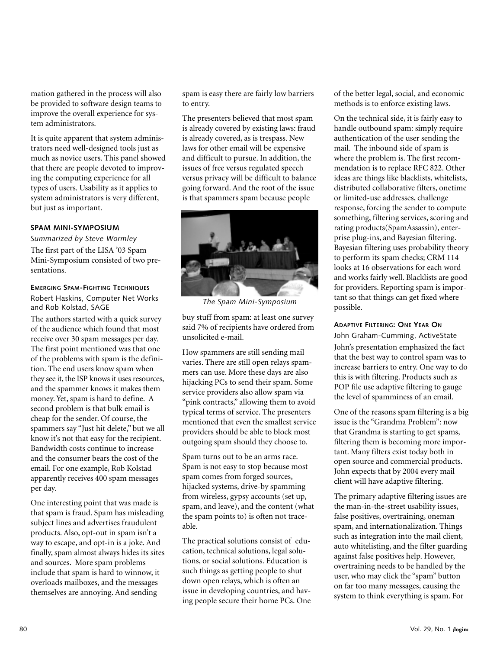mation gathered in the process will also be provided to software design teams to improve the overall experience for system administrators.

It is quite apparent that system administrators need well-designed tools just as much as novice users. This panel showed that there are people devoted to improving the computing experience for all types of users. Usability as it applies to system administrators is very different, but just as important.

#### **SPAM MINI-SYMPOSIUM**

*Summarized by Steve Wormley* The first part of the LISA '03 Spam Mini-Symposium consisted of two presentations.

**EMERGING SPAM-FIGHTING TECHNIQUES** Robert Haskins, Computer Net Works and Rob Kolstad, SAGE

The authors started with a quick survey of the audience which found that most receive over 30 spam messages per day. The first point mentioned was that one of the problems with spam is the definition. The end users know spam when they see it, the ISP knows it uses resources, and the spammer knows it makes them money. Yet, spam is hard to define. A second problem is that bulk email is cheap for the sender. Of course, the spammers say "Just hit delete," but we all know it's not that easy for the recipient. Bandwidth costs continue to increase and the consumer bears the cost of the email. For one example, Rob Kolstad apparently receives 400 spam messages per day.

One interesting point that was made is that spam is fraud. Spam has misleading subject lines and advertises fraudulent products. Also, opt-out in spam isn't a way to escape, and opt-in is a joke. And finally, spam almost always hides its sites and sources. More spam problems include that spam is hard to winnow, it overloads mailboxes, and the messages themselves are annoying. And sending

spam is easy there are fairly low barriers to entry.

The presenters believed that most spam is already covered by existing laws: fraud is already covered, as is trespass. New laws for other email will be expensive and difficult to pursue. In addition, the issues of free versus regulated speech versus privacy will be difficult to balance going forward. And the root of the issue is that spammers spam because people



*The Spam Mini-Symposium*

buy stuff from spam: at least one survey said 7% of recipients have ordered from unsolicited e-mail.

How spammers are still sending mail varies. There are still open relays spammers can use. More these days are also hijacking PCs to send their spam. Some service providers also allow spam via "pink contracts," allowing them to avoid typical terms of service. The presenters mentioned that even the smallest service providers should be able to block most outgoing spam should they choose to.

Spam turns out to be an arms race. Spam is not easy to stop because most spam comes from forged sources, hijacked systems, drive-by spamming from wireless, gypsy accounts (set up, spam, and leave), and the content (what the spam points to) is often not traceable.

The practical solutions consist of education, technical solutions, legal solutions, or social solutions. Education is such things as getting people to shut down open relays, which is often an issue in developing countries, and having people secure their home PCs. One of the better legal, social, and economic methods is to enforce existing laws.

On the technical side, it is fairly easy to handle outbound spam: simply require authentication of the user sending the mail. The inbound side of spam is where the problem is. The first recommendation is to replace RFC 822. Other ideas are things like blacklists, whitelists, distributed collaborative filters, onetime or limited-use addresses, challenge response, forcing the sender to compute something, filtering services, scoring and rating products(SpamAssassin), enterprise plug-ins, and Bayesian filtering. Bayesian filtering uses probability theory to perform its spam checks; CRM 114 looks at 16 observations for each word and works fairly well. Blacklists are good for providers. Reporting spam is important so that things can get fixed where possible.

#### **ADAPTIVE FILTERING: ONE YEAR ON**

John Graham-Cumming, ActiveState John's presentation emphasized the fact that the best way to control spam was to increase barriers to entry. One way to do this is with filtering. Products such as POP file use adaptive filtering to gauge the level of spamminess of an email.

One of the reasons spam filtering is a big issue is the "Grandma Problem": now that Grandma is starting to get spams, filtering them is becoming more important. Many filters exist today both in open source and commercial products. John expects that by 2004 every mail client will have adaptive filtering.

The primary adaptive filtering issues are the man-in-the-street usability issues, false positives, overtraining, oneman spam, and internationalization. Things such as integration into the mail client, auto whitelisting, and the filter guarding against false positives help. However, overtraining needs to be handled by the user, who may click the "spam" button on far too many messages, causing the system to think everything is spam. For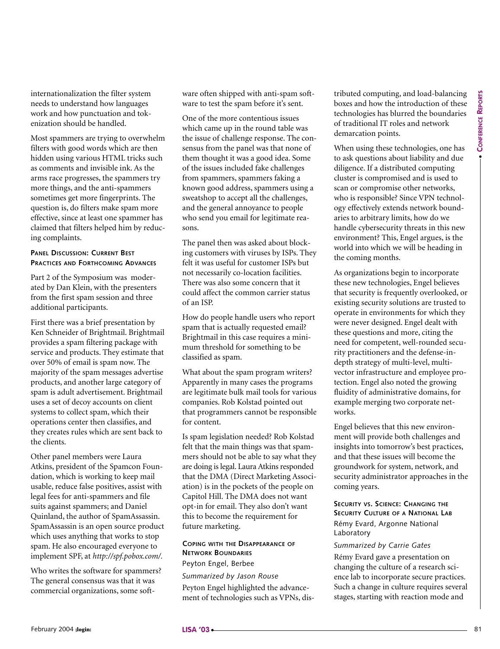internationalization the filter system needs to understand how languages work and how punctuation and tokenization should be handled.

Most spammers are trying to overwhelm filters with good words which are then hidden using various HTML tricks such as comments and invisible ink. As the arms race progresses, the spammers try more things, and the anti-spammers sometimes get more fingerprints. The question is, do filters make spam more effective, since at least one spammer has claimed that filters helped him by reducing complaints.

#### **PANEL DISCUSSION: CURRENT BEST PRACTICES AND FORTHCOMING ADVANCES**

Part 2 of the Symposium was moderated by Dan Klein, with the presenters from the first spam session and three additional participants.

First there was a brief presentation by Ken Schneider of Brightmail. Brightmail provides a spam filtering package with service and products. They estimate that over 50% of email is spam now. The majority of the spam messages advertise products, and another large category of spam is adult advertisement. Brightmail uses a set of decoy accounts on client systems to collect spam, which their operations center then classifies, and they creates rules which are sent back to the clients.

Other panel members were Laura Atkins, president of the Spamcon Foundation, which is working to keep mail usable, reduce false positives, assist with legal fees for anti-spammers and file suits against spammers; and Daniel Quinland, the author of SpamAssassin. SpamAssassin is an open source product which uses anything that works to stop spam. He also encouraged everyone to implement SPF, at *http://spf.pobox.com/.*

Who writes the software for spammers? The general consensus was that it was commercial organizations, some software often shipped with anti-spam software to test the spam before it's sent.

One of the more contentious issues which came up in the round table was the issue of challenge response. The consensus from the panel was that none of them thought it was a good idea. Some of the issues included fake challenges from spammers, spammers faking a known good address, spammers using a sweatshop to accept all the challenges, and the general annoyance to people who send you email for legitimate reasons.

The panel then was asked about blocking customers with viruses by ISPs. They felt it was useful for customer ISPs but not necessarily co-location facilities. There was also some concern that it could affect the common carrier status of an ISP.

How do people handle users who report spam that is actually requested email? Brightmail in this case requires a minimum threshold for something to be classified as spam.

What about the spam program writers? Apparently in many cases the programs are legitimate bulk mail tools for various companies. Rob Kolstad pointed out that programmers cannot be responsible for content.

Is spam legislation needed? Rob Kolstad felt that the main things was that spammers should not be able to say what they are doing is legal. Laura Atkins responded that the DMA (Direct Marketing Association) is in the pockets of the people on Capitol Hill. The DMA does not want opt-in for email. They also don't want this to become the requirement for future marketing.

#### **COPING WITH THE DISAPPEARANCE OF NETWORK BOUNDARIES** Peyton Engel, Berbee

*Summarized by Jason Rouse* Peyton Engel highlighted the advancement of technologies such as VPNs, distributed computing, and load-balancing boxes and how the introduction of these technologies has blurred the boundaries of traditional IT roles and network demarcation points.

When using these technologies, one has to ask questions about liability and due diligence. If a distributed computing cluster is compromised and is used to scan or compromise other networks, who is responsible? Since VPN technology effectively extends network boundaries to arbitrary limits, how do we handle cybersecurity threats in this new environment? This, Engel argues, is the world into which we will be heading in the coming months.

hidroids outsign with the distance. This then the experiment of the specific theoretical is the content of the specific theoretical is the content of the specific theoretical is the content of the specific theoretical is As organizations begin to incorporate these new technologies, Engel believes that security is frequently overlooked, or existing security solutions are trusted to operate in environments for which they were never designed. Engel dealt with these questions and more, citing the need for competent, well-rounded security practitioners and the defense-indepth strategy of multi-level, multivector infrastructure and employee protection. Engel also noted the growing fluidity of administrative domains, for example merging two corporate networks.

Engel believes that this new environment will provide both challenges and insights into tomorrow's best practices, and that these issues will become the groundwork for system, network, and security administrator approaches in the coming years.

**SECURITY VS. SCIENCE: CHANGING THE SECURITY CULTURE OF A NATIONAL LAB** Rémy Evard, Argonne National Laboratory

#### *Summarized by Carrie Gates*

Rémy Evard gave a presentation on changing the culture of a research science lab to incorporate secure practices. Such a change in culture requires several stages, starting with reaction mode and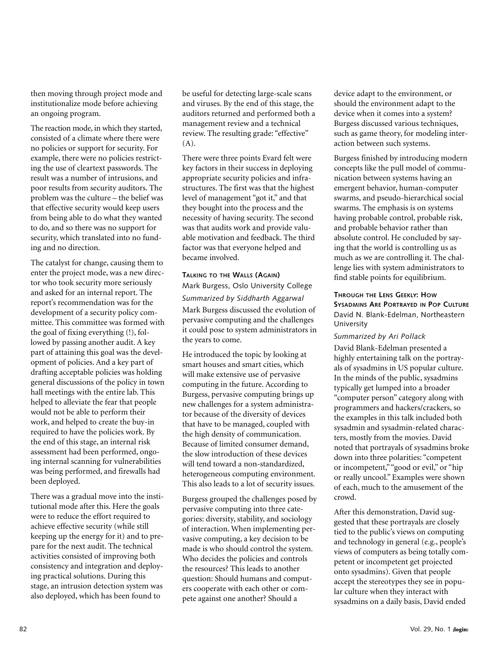then moving through project mode and institutionalize mode before achieving an ongoing program.

The reaction mode, in which they started, consisted of a climate where there were no policies or support for security. For example, there were no policies restricting the use of cleartext passwords. The result was a number of intrusions, and poor results from security auditors. The problem was the culture – the belief was that effective security would keep users from being able to do what they wanted to do, and so there was no support for security, which translated into no funding and no direction.

The catalyst for change, causing them to enter the project mode, was a new director who took security more seriously and asked for an internal report. The report's recommendation was for the development of a security policy committee. This committee was formed with the goal of fixing everything (!), followed by passing another audit. A key part of attaining this goal was the development of policies. And a key part of drafting acceptable policies was holding general discussions of the policy in town hall meetings with the entire lab. This helped to alleviate the fear that people would not be able to perform their work, and helped to create the buy-in required to have the policies work. By the end of this stage, an internal risk assessment had been performed, ongoing internal scanning for vulnerabilities was being performed, and firewalls had been deployed.

There was a gradual move into the institutional mode after this. Here the goals were to reduce the effort required to achieve effective security (while still keeping up the energy for it) and to prepare for the next audit. The technical activities consisted of improving both consistency and integration and deploying practical solutions. During this stage, an intrusion detection system was also deployed, which has been found to

be useful for detecting large-scale scans and viruses. By the end of this stage, the auditors returned and performed both a management review and a technical review. The resulting grade: "effective" (A).

There were three points Evard felt were key factors in their success in deploying appropriate security policies and infrastructures. The first was that the highest level of management "got it," and that they bought into the process and the necessity of having security. The second was that audits work and provide valuable motivation and feedback. The third factor was that everyone helped and became involved.

#### **TALKING TO THE WALLS (AGAIN)**

Mark Burgess, Oslo University College *Summarized by Siddharth Aggarwal* Mark Burgess discussed the evolution of pervasive computing and the challenges it could pose to system administrators in the years to come.

He introduced the topic by looking at smart houses and smart cities, which will make extensive use of pervasive computing in the future. According to Burgess, pervasive computing brings up new challenges for a system administrator because of the diversity of devices that have to be managed, coupled with the high density of communication. Because of limited consumer demand, the slow introduction of these devices will tend toward a non-standardized, heterogeneous computing environment. This also leads to a lot of security issues.

Burgess grouped the challenges posed by pervasive computing into three categories: diversity, stability, and sociology of interaction. When implementing pervasive computing, a key decision to be made is who should control the system. Who decides the policies and controls the resources? This leads to another question: Should humans and computers cooperate with each other or compete against one another? Should a

device adapt to the environment, or should the environment adapt to the device when it comes into a system? Burgess discussed various techniques, such as game theory, for modeling interaction between such systems.

Burgess finished by introducing modern concepts like the pull model of communication between systems having an emergent behavior, human-computer swarms, and pseudo-hierarchical social swarms. The emphasis is on systems having probable control, probable risk, and probable behavior rather than absolute control. He concluded by saying that the world is controlling us as much as we are controlling it. The challenge lies with system administrators to find stable points for equilibrium.

#### **THROUGH THE LENS GEEKLY: HOW SYSADMINS ARE PORTRAYED IN POP CULTURE** David N. Blank-Edelman, Northeastern University

#### *Summarized by Ari Pollack*

David Blank-Edelman presented a highly entertaining talk on the portrayals of sysadmins in US popular culture. In the minds of the public, sysadmins typically get lumped into a broader "computer person" category along with programmers and hackers/crackers, so the examples in this talk included both sysadmin and sysadmin-related characters, mostly from the movies. David noted that portrayals of sysadmins broke down into three polarities: "competent or incompetent,""good or evil," or "hip or really uncool." Examples were shown of each, much to the amusement of the crowd.

After this demonstration, David suggested that these portrayals are closely tied to the public's views on computing and technology in general (e.g., people's views of computers as being totally competent or incompetent get projected onto sysadmins). Given that people accept the stereotypes they see in popular culture when they interact with sysadmins on a daily basis, David ended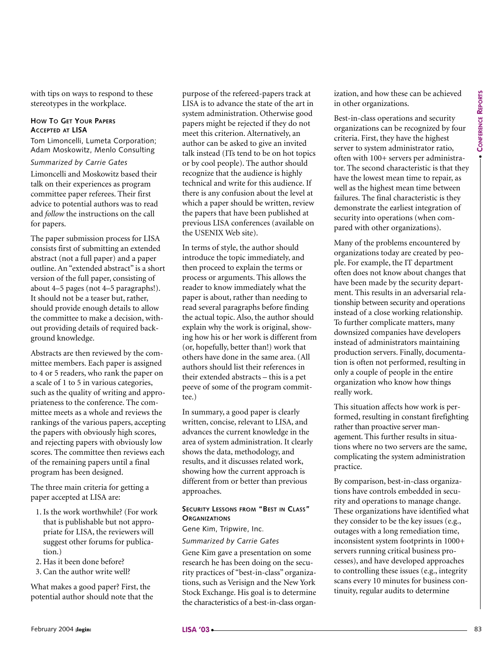with tips on ways to respond to these stereotypes in the workplace.

#### **HOW TO GET YOUR PAPERS ACCEPTED AT LISA**

Tom Limoncelli, Lumeta Corporation; Adam Moskowitz, Menlo Consulting

#### *Summarized by Carrie Gates*

Limoncelli and Moskowitz based their talk on their experiences as program committee paper referees. Their first advice to potential authors was to read and *follow* the instructions on the call for papers.

The paper submission process for LISA consists first of submitting an extended abstract (not a full paper) and a paper outline. An "extended abstract" is a short version of the full paper, consisting of about 4–5 pages (not 4–5 paragraphs!). It should not be a teaser but, rather, should provide enough details to allow the committee to make a decision, without providing details of required background knowledge.

Abstracts are then reviewed by the committee members. Each paper is assigned to 4 or 5 readers, who rank the paper on a scale of 1 to 5 in various categories, such as the quality of writing and appropriateness to the conference. The committee meets as a whole and reviews the rankings of the various papers, accepting the papers with obviously high scores, and rejecting papers with obviously low scores. The committee then reviews each of the remaining papers until a final program has been designed.

The three main criteria for getting a paper accepted at LISA are:

- 1. Is the work worthwhile? (For work that is publishable but not appropriate for LISA, the reviewers will suggest other forums for publication.)
- 2. Has it been done before?
- 3. Can the author write well?

What makes a good paper? First, the potential author should note that the purpose of the refereed-papers track at LISA is to advance the state of the art in system administration. Otherwise good papers might be rejected if they do not meet this criterion. Alternatively, an author can be asked to give an invited talk instead (ITs tend to be on hot topics or by cool people). The author should recognize that the audience is highly technical and write for this audience. If there is any confusion about the level at which a paper should be written, review the papers that have been published at previous LISA conferences (available on the USENIX Web site).

Sometrized products are contributed in the sample and the sample and of the sample and one contributed in the sample and one in the sample and the sample and the sample and the sample and the sample and the sample and the In terms of style, the author should introduce the topic immediately, and then proceed to explain the terms or process or arguments. This allows the reader to know immediately what the paper is about, rather than needing to read several paragraphs before finding the actual topic. Also, the author should explain why the work is original, showing how his or her work is different from (or, hopefully, better than!) work that others have done in the same area. (All authors should list their references in their extended abstracts – this is a pet peeve of some of the program committee.)

In summary, a good paper is clearly written, concise, relevant to LISA, and advances the current knowledge in the area of system administration. It clearly shows the data, methodology, and results, and it discusses related work, showing how the current approach is different from or better than previous approaches.

#### **SECURITY LESSONS FROM "BEST IN CLASS" ORGANIZATIONS**

Gene Kim, Tripwire, Inc.

#### *Summarized by Carrie Gates*

Gene Kim gave a presentation on some research he has been doing on the security practices of "best-in-class" organizations, such as Verisign and the New York Stock Exchange. His goal is to determine the characteristics of a best-in-class organization, and how these can be achieved in other organizations.

Best-in-class operations and security organizations can be recognized by four criteria. First, they have the highest server to system administrator ratio, often with 100+ servers per administrator. The second characteristic is that they have the lowest mean time to repair, as well as the highest mean time between failures. The final characteristic is they demonstrate the earliest integration of security into operations (when compared with other organizations).

Many of the problems encountered by organizations today are created by people. For example, the IT department often does not know about changes that have been made by the security department. This results in an adversarial relationship between security and operations instead of a close working relationship. To further complicate matters, many downsized companies have developers instead of administrators maintaining production servers. Finally, documentation is often not performed, resulting in only a couple of people in the entire organization who know how things really work.

This situation affects how work is performed, resulting in constant firefighting rather than proactive server management. This further results in situations where no two servers are the same, complicating the system administration practice.

By comparison, best-in-class organizations have controls embedded in security and operations to manage change. These organizations have identified what they consider to be the key issues (e.g., outages with a long remediation time, inconsistent system footprints in 1000+ servers running critical business processes), and have developed approaches to controlling these issues (e.g., integrity scans every 10 minutes for business continuity, regular audits to determine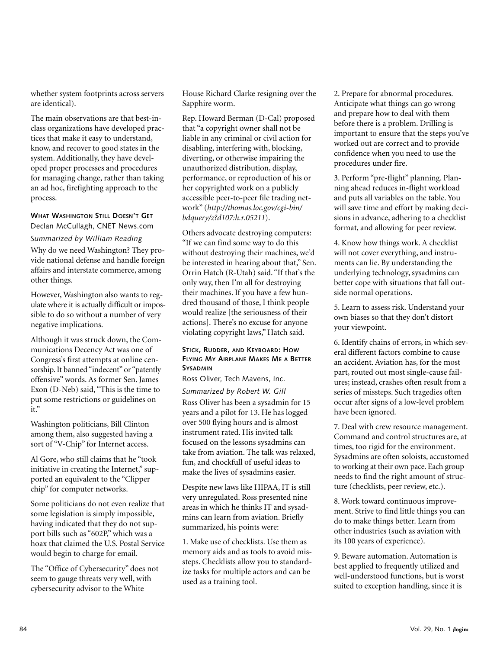whether system footprints across servers are identical).

The main observations are that best-inclass organizations have developed practices that make it easy to understand, know, and recover to good states in the system. Additionally, they have developed proper processes and procedures for managing change, rather than taking an ad hoc, firefighting approach to the process.

**WHAT WASHINGTON STILL DOESN'T GET** Declan McCullagh, CNET News.com

#### *Summarized by William Reading*

Why do we need Washington? They provide national defense and handle foreign affairs and interstate commerce, among other things.

However, Washington also wants to regulate where it is actually difficult or impossible to do so without a number of very negative implications.

Although it was struck down, the Communications Decency Act was one of Congress's first attempts at online censorship. It banned "indecent" or "patently offensive" words. As former Sen. James Exon (D-Neb) said, "This is the time to put some restrictions or guidelines on it."

Washington politicians, Bill Clinton among them, also suggested having a sort of "V-Chip" for Internet access.

Al Gore, who still claims that he "took initiative in creating the Internet," supported an equivalent to the "Clipper chip" for computer networks.

Some politicians do not even realize that some legislation is simply impossible, having indicated that they do not support bills such as "602P," which was a hoax that claimed the U.S. Postal Service would begin to charge for email.

The "Office of Cybersecurity" does not seem to gauge threats very well, with cybersecurity advisor to the White

House Richard Clarke resigning over the Sapphire worm.

Rep. Howard Berman (D-Cal) proposed that "a copyright owner shall not be liable in any criminal or civil action for disabling, interfering with, blocking, diverting, or otherwise impairing the unauthorized distribution, display, performance, or reproduction of his or her copyrighted work on a publicly accessible peer-to-peer file trading network" (*http://thomas.loc.gov/cgi-bin/ bdquery/z?d107:h.r.05211*).

Others advocate destroying computers: "If we can find some way to do this without destroying their machines, we'd be interested in hearing about that," Sen. Orrin Hatch (R-Utah) said. "If that's the only way, then I'm all for destroying their machines. If you have a few hundred thousand of those, I think people would realize [the seriousness of their actions]. There's no excuse for anyone violating copyright laws," Hatch said.

#### **STICK, RUDDER, AND KEYBOARD: HOW FLYING MY AIRPLANE MAKES ME A BETTER SYSADMIN**

Ross Oliver, Tech Mavens, Inc.

*Summarized by Robert W. Gill*

Ross Oliver has been a sysadmin for 15 years and a pilot for 13. He has logged over 500 flying hours and is almost instrument rated. His invited talk focused on the lessons sysadmins can take from aviation. The talk was relaxed, fun, and chockfull of useful ideas to make the lives of sysadmins easier.

Despite new laws like HIPAA, IT is still very unregulated. Ross presented nine areas in which he thinks IT and sysadmins can learn from aviation. Briefly summarized, his points were:

1. Make use of checklists. Use them as memory aids and as tools to avoid missteps. Checklists allow you to standardize tasks for multiple actors and can be used as a training tool.

2. Prepare for abnormal procedures. Anticipate what things can go wrong and prepare how to deal with them before there is a problem. Drilling is important to ensure that the steps you've worked out are correct and to provide confidence when you need to use the procedures under fire.

3. Perform "pre-flight" planning. Planning ahead reduces in-flight workload and puts all variables on the table. You will save time and effort by making decisions in advance, adhering to a checklist format, and allowing for peer review.

4. Know how things work. A checklist will not cover everything, and instruments can lie. By understanding the underlying technology, sysadmins can better cope with situations that fall outside normal operations.

5. Learn to assess risk. Understand your own biases so that they don't distort your viewpoint.

6. Identify chains of errors, in which several different factors combine to cause an accident. Aviation has, for the most part, routed out most single-cause failures; instead, crashes often result from a series of missteps. Such tragedies often occur after signs of a low-level problem have been ignored.

7. Deal with crew resource management. Command and control structures are, at times, too rigid for the environment. Sysadmins are often soloists, accustomed to working at their own pace. Each group needs to find the right amount of structure (checklists, peer review, etc.).

8. Work toward continuous improvement. Strive to find little things you can do to make things better. Learn from other industries (such as aviation with its 100 years of experience).

9. Beware automation. Automation is best applied to frequently utilized and well-understood functions, but is worst suited to exception handling, since it is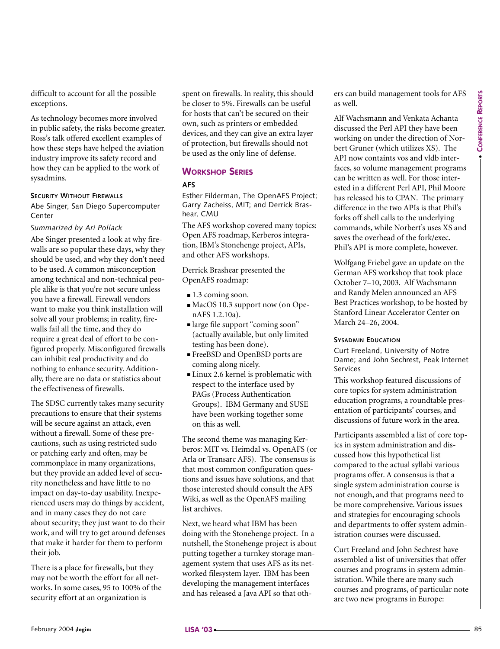difficult to account for all the possible exceptions.

As technology becomes more involved in public safety, the risks become greater. Ross's talk offered excellent examples of how these steps have helped the aviation industry improve its safety record and how they can be applied to the work of sysadmins.

#### **SECURITY WITHOUT FIREWALLS**

Abe Singer, San Diego Supercomputer Center

#### *Summarized by Ari Pollack*

Abe Singer presented a look at why firewalls are so popular these days, why they should be used, and why they don't need to be used. A common misconception among technical and non-technical people alike is that you're not secure unless you have a firewall. Firewall vendors want to make you think installation will solve all your problems; in reality, firewalls fail all the time, and they do require a great deal of effort to be configured properly. Misconfigured firewalls can inhibit real productivity and do nothing to enhance security. Additionally, there are no data or statistics about the effectiveness of firewalls. Show the sixty condition was also be the convenient state of the sixty and the sixty and the sixty and the sixty and the sixty and the sixty and  $\sim$  85 and a sixty respect to the sixty respect to the sixty respect to the

The SDSC currently takes many security precautions to ensure that their systems will be secure against an attack, even without a firewall. Some of these precautions, such as using restricted sudo or patching early and often, may be commonplace in many organizations, but they provide an added level of security nonetheless and have little to no impact on day-to-day usability. Inexperienced users may do things by accident, and in many cases they do not care about security; they just want to do their work, and will try to get around defenses that make it harder for them to perform their job.

There is a place for firewalls, but they may not be worth the effort for all networks. In some cases, 95 to 100% of the security effort at an organization is

spent on firewalls. In reality, this should be closer to 5%. Firewalls can be useful for hosts that can't be secured on their own, such as printers or embedded devices, and they can give an extra layer of protection, but firewalls should not be used as the only line of defense.

#### **WORKSHOP SERIES**

#### **AFS**

Esther Filderman, The OpenAFS Project; Garry Zacheiss, MIT; and Derrick Brashear, CMU

The AFS workshop covered many topics: Open AFS roadmap, Kerberos integration, IBM's Stonehenge project, APIs, and other AFS workshops.

Derrick Brashear presented the OpenAFS roadmap:

- **■** 1.3 coming soon.
- MacOS 10.3 support now (on OpenAFS 1.2.10a).
- **■** large file support "coming soon" (actually available, but only limited testing has been done).
- **■** FreeBSD and OpenBSD ports are coming along nicely.
- **■** Linux 2.6 kernel is problematic with respect to the interface used by PAGs (Process Authentication Groups). IBM Germany and SUSE have been working together some on this as well.

The second theme was managing Kerberos: MIT vs. Heimdal vs. OpenAFS (or Arla or Transarc AFS). The consensus is that most common configuration questions and issues have solutions, and that those interested should consult the AFS Wiki, as well as the OpenAFS mailing list archives.

Next, we heard what IBM has been doing with the Stonehenge project. In a nutshell, the Stonehenge project is about putting together a turnkey storage management system that uses AFS as its networked filesystem layer. IBM has been developing the management interfaces and has released a Java API so that others can build management tools for AFS as well.

Alf Wachsmann and Venkata Achanta discussed the Perl API they have been working on under the direction of Norbert Gruner (which utilizes XS). The API now containts vos and vldb interfaces, so volume management programs can be written as well. For those interested in a different Perl API, Phil Moore has released his to CPAN. The primary difference in the two APIs is that Phil's forks off shell calls to the underlying commands, while Norbert's uses XS and saves the overhead of the fork/exec. Phil's API is more complete, however.

Wolfgang Friebel gave an update on the German AFS workshop that took place October 7–10, 2003. Alf Wachsmann and Randy Melen announced an AFS Best Practices workshop, to be hosted by Stanford Linear Accelerator Center on March 24–26, 2004.

#### **SYSADMIN EDUCATION**

Curt Freeland, University of Notre Dame; and John Sechrest, Peak Internet Services

This workshop featured discussions of core topics for system administration education programs, a roundtable presentation of participants' courses, and discussions of future work in the area.

Participants assembled a list of core topics in system administration and discussed how this hypothetical list compared to the actual syllabi various programs offer. A consensus is that a single system administration course is not enough, and that programs need to be more comprehensive. Various issues and strategies for encouraging schools and departments to offer system administration courses were discussed.

Curt Freeland and John Sechrest have assembled a list of universities that offer courses and programs in system administration. While there are many such courses and programs, of particular note are two new programs in Europe: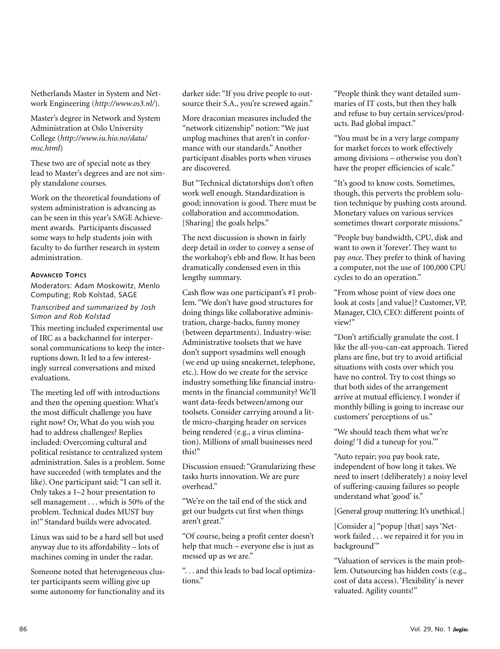Netherlands Master in System and Network Engineering (*http://www.os3.nl/*).

Master's degree in Network and System Administration at Oslo University College (*http://www.iu.hio.no/data/ msc.html*)

These two are of special note as they lead to Master's degrees and are not simply standalone courses.

Work on the theoretical foundations of system administration is advancing as can be seen in this year's SAGE Achievement awards. Participants discussed some ways to help students join with faculty to do further research in system administration.

#### **ADVANCED TOPICS**

Moderators: Adam Moskowitz, Menlo Computing; Rob Kolstad, SAGE

#### *Transcribed and summarized by Josh Simon and Rob Kolstad*

This meeting included experimental use of IRC as a backchannel for interpersonal communications to keep the interruptions down. It led to a few interestingly surreal conversations and mixed evaluations.

The meeting led off with introductions and then the opening question: What's the most difficult challenge you have right now? Or, What do you wish you had to address challenges? Replies included: Overcoming cultural and political resistance to centralized system administration. Sales is a problem. Some have succeeded (with templates and the like). One participant said: "I can sell it. Only takes a 1–2 hour presentation to sell management . . . which is 50% of the problem. Technical dudes MUST buy in!" Standard builds were advocated.

Linux was said to be a hard sell but used anyway due to its affordability – lots of machines coming in under the radar.

Someone noted that heterogeneous cluster participants seem willing give up some autonomy for functionality and its

darker side: "If you drive people to outsource their S.A., you're screwed again."

More draconian measures included the "network citizenship" notion: "We just unplug machines that aren't in conformance with our standards." Another participant disables ports when viruses are discovered.

But "Technical dictatorships don't often work well enough. Standardization is good; innovation is good. There must be collaboration and accommodation. [Sharing] the goals helps."

The next discussion is shown in fairly deep detail in order to convey a sense of the workshop's ebb and flow. It has been dramatically condensed even in this lengthy summary.

Cash flow was one participant's #1 problem. "We don't have good structures for doing things like collaborative administration, charge-backs, funny money (between departments). Industry-wise: Administrative toolsets that we have don't support sysadmins well enough (we end up using sneakernet, telephone, etc.). How do we create for the service industry something like financial instruments in the financial community? We'll want data-feeds between/among our toolsets. Consider carrying around a little micro-charging header on services being rendered (e.g., a virus elimination). Millions of small businesses need this!"

Discussion ensued: "Granularizing these tasks hurts innovation. We are pure overhead."

"We're on the tail end of the stick and get our budgets cut first when things aren't great."

"Of course, being a profit center doesn't help that much – everyone else is just as messed up as we are."

". . . and this leads to bad local optimizations."

"People think they want detailed summaries of IT costs, but then they balk and refuse to buy certain services/products. Bad global impact."

"You must be in a very large company for market forces to work effectively among divisions – otherwise you don't have the proper efficiencies of scale."

"It's good to know costs. Sometimes, though, this perverts the problem solution technique by pushing costs around. Monetary values on various services sometimes thwart corporate missions."

"People buy bandwidth, CPU, disk and want to own it 'forever'. They want to pay *once*. They prefer to think of having a computer, not the use of 100,000 CPU cycles to do an operation."

"From whose point of view does one look at costs [and value]? Customer, VP, Manager, CIO, CEO: different points of view!"

"Don't artificially granulate the cost. I like the all-you-can-eat approach. Tiered plans are fine, but try to avoid artificial situations with costs over which you have no control. Try to cost things so that both sides of the arrangement arrive at mutual efficiency. I wonder if monthly billing is going to increase our customers' perceptions of us."

"We should teach them what we're doing! 'I did a tuneup for you.'"

"Auto repair; you pay book rate, independent of how long it takes. We need to insert (deliberately) a noisy level of suffering-causing failures so people understand what 'good' is."

[General group muttering: It's unethical.]

[Consider a] "popup [that] says 'Network failed . . . we repaired it for you in background'"

"Valuation of services is the main problem. Outsourcing has hidden costs (e.g., cost of data access). 'Flexibility' is never valuated. Agility counts!"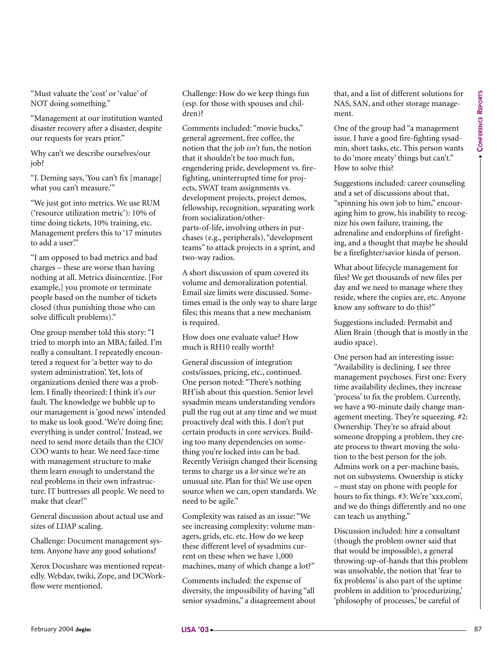"Must valuate the 'cost' or 'value' of NOT doing something."

"Management at our institution wanted disaster recovery after a disaster, despite our requests for years prior."

Why can't we describe ourselves/our job?

"J. Deming says, 'You can't fix [manage] what you can't measure.'"

"We just got into metrics. We use RUM ('resource utilization metric'): 10% of time doing tickets, 10% training, etc. Management prefers this to '17 minutes to add a user'."

"I am opposed to bad metrics and bad charges – these are worse than having nothing at all. Metrics disincentize. [For example,] you promote or terminate people based on the number of tickets closed (thus punishing those who can solve difficult problems)."

One group member told this story: "I tried to morph into an MBA; failed. I'm really a consultant. I repeatedly encountered a request for 'a better way to do system administration'. Yet, lots of organizations denied there was a problem. I finally theorized: I think it's *our* fault. The knowledge we bubble up to our management is 'good news' intended to make us look good. 'We're doing fine; everything is under control.' Instead, we need to send more details than the CIO/ COO wants to hear. We need face-time with management structure to make them learn enough to understand the real problems in their own infrastructure. IT buttresses all people. We need to make that clear!" For the state of the contribution is the contribution of the contribution of the state of the state of the state of the state of the state of the state of the state of the state of the state of the state of the state of t

General discussion about actual use and sizes of LDAP scaling.

Challenge: Document management system. Anyone have any good solutions?

Xerox Docushare was mentioned repeatedly. Webdav, twiki, Zope, and DCWorkflow were mentioned.

Challenge: How do we keep things fun (esp. for those with spouses and children)?

Comments included: "movie bucks," general agreement, free coffee, the notion that the job *isn't* fun, the notion that it shouldn't be too much fun, engendering pride, development vs. firefighting, uninterrupted time for projects, SWAT team assignments vs. development projects, project demos, fellowship, recognition, separating work from socialization/otherparts-of-life, involving others in purchases (e.g., peripherals), "development teams" to attack projects in a sprint, and two-way radios.

A short discussion of spam covered its volume and demoralization potential. Email size limits were discussed. Sometimes email is the only way to share large files; this means that a new mechanism is required.

How does one evaluate value? How much is RH10 really worth?

General discussion of integration costs/issues, pricing, etc., continued. One person noted: "There's nothing RH'ish about this question. Senior level sysadmin means understanding vendors pull the rug out at any time and we must proactively deal with this. I don't put certain products in core services. Building too many dependencies on something you're locked into can be bad. Recently Verisign changed their licensing terms to charge us a *lot* since we're an unusual site. Plan for this! We use open source when we can, open standards. We need to be agile."

Complexity was raised as an issue: "We see increasing complexity: volume managers, grids, etc. etc. How do we keep these different level of sysadmins current on these when we have 1,000 machines, many of which change a lot?"

Comments included: the expense of diversity, the impossibility of having "all senior sysadmins," a disagreement about that, and a list of different solutions for NAS, SAN, and other storage management.

One of the group had "a management issue. I have a good fire-fighting sysadmin, short tasks, etc. This person wants to do 'more meaty' things but can't." How to solve this?

Suggestions included: career counseling and a set of discussions about that, "spinning his own job to him," encouraging him to grow, his inability to recognize his own failure, training, the adrenaline and endorphins of firefighting, and a thought that maybe he should be a firefighter/savior kinda of person.

What about lifecycle management for files? We get thousands of new files per day and we need to manage where they reside, where the copies are, etc. Anyone know any software to do this?"

Suggestions included: Permabit and Alien Brain (though that is mostly in the audio space).

One person had an interesting issue: "Availability is declining. I see three management psychoses. First one: Every time availability declines, they increase 'process' to fix the problem. Currently, we have a 90-minute daily change management meeting. They're squeezing. #2: Ownership. They're so afraid about someone dropping a problem, they create process to thwart moving the solution to the best person for the job. Admins work on a per-machine basis, not on subsystems. Ownership is sticky – must stay on phone with people for hours to fix things. #3: We're 'xxx.com', and we do things differently and no one can teach us anything."

Discussion included: hire a consultant (though the problem owner said that that would be impossible), a general throwing-up-of-hands that this problem was unsolvable, the notion that 'fear to fix problems' is also part of the uptime problem in addition to 'procedurizing,' 'philosophy of processes,' be careful of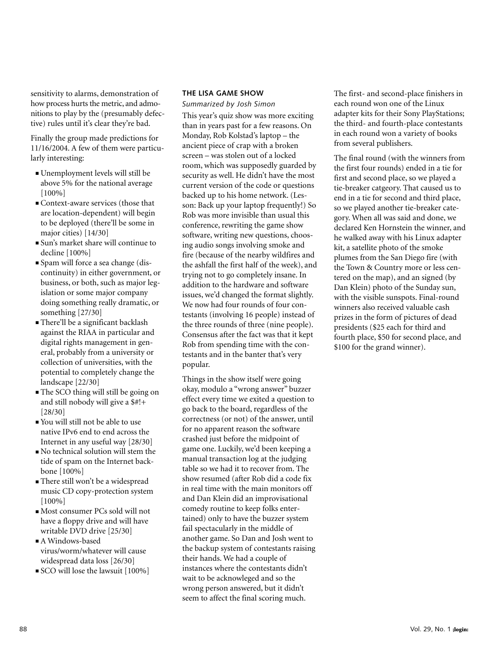sensitivity to alarms, demonstration of how process hurts the metric, and admonitions to play by the (presumably defective) rules until it's clear they're bad.

Finally the group made predictions for 11/16/2004. A few of them were particularly interesting:

- **■** Unemployment levels will still be above 5% for the national average [100%]
- **■** Context-aware services (those that are location-dependent) will begin to be deployed (there'll be some in major cities) [14/30]
- **■** Sun's market share will continue to decline [100%]
- **■** Spam will force a sea change (discontinuity) in either government, or business, or both, such as major legislation or some major company doing something really dramatic, or something [27/30]
- **■** There'll be a significant backlash against the RIAA in particular and digital rights management in general, probably from a university or collection of universities, with the potential to completely change the landscape [22/30]
- **■** The SCO thing will still be going on and still nobody will give a \$#!+ [28/30]
- **■** You will still not be able to use native IPv6 end to end across the Internet in any useful way [28/30]
- **■** No technical solution will stem the tide of spam on the Internet backbone [100%]
- **■** There still won't be a widespread music CD copy-protection system [100%]
- **■** Most consumer PCs sold will not have a floppy drive and will have writable DVD drive [25/30]
- **■** A Windows-based virus/worm/whatever will cause widespread data loss [26/30]
- **■** SCO will lose the lawsuit [100%]

#### **THE LISA GAME SHOW**

*Summarized by Josh Simon*

This year's quiz show was more exciting than in years past for a few reasons. On Monday, Rob Kolstad's laptop – the ancient piece of crap with a broken screen – was stolen out of a locked room, which was supposedly guarded by security as well. He didn't have the most current version of the code or questions backed up to his home network. (Lesson: Back up your laptop frequently!) So Rob was more invisible than usual this conference, rewriting the game show software, writing new questions, choosing audio songs involving smoke and fire (because of the nearby wildfires and the ashfall the first half of the week), and trying not to go completely insane. In addition to the hardware and software issues, we'd changed the format slightly. We now had four rounds of four contestants (involving 16 people) instead of the three rounds of three (nine people). Consensus after the fact was that it kept Rob from spending time with the contestants and in the banter that's very popular.

Things in the show itself were going okay, modulo a "wrong answer" buzzer effect every time we exited a question to go back to the board, regardless of the correctness (or not) of the answer, until for no apparent reason the software crashed just before the midpoint of game one. Luckily, we'd been keeping a manual transaction log at the judging table so we had it to recover from. The show resumed (after Rob did a code fix in real time with the main monitors off and Dan Klein did an improvisational comedy routine to keep folks entertained) only to have the buzzer system fail spectacularly in the middle of another game. So Dan and Josh went to the backup system of contestants raising their hands. We had a couple of instances where the contestants didn't wait to be acknowleged and so the wrong person answered, but it didn't seem to affect the final scoring much.

The first- and second-place finishers in each round won one of the Linux adapter kits for their Sony PlayStations; the third- and fourth-place contestants in each round won a variety of books from several publishers.

The final round (with the winners from the first four rounds) ended in a tie for first and second place, so we played a tie-breaker catgeory. That caused us to end in a tie for second and third place, so we played another tie-breaker category. When all was said and done, we declared Ken Hornstein the winner, and he walked away with his Linux adapter kit, a satellite photo of the smoke plumes from the San Diego fire (with the Town & Country more or less centered on the map), and an signed (by Dan Klein) photo of the Sunday sun, with the visible sunspots. Final-round winners also received valuable cash prizes in the form of pictures of dead presidents (\$25 each for third and fourth place, \$50 for second place, and \$100 for the grand winner).